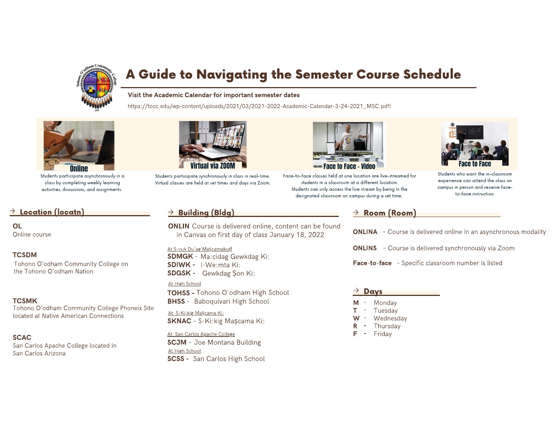

# A Guide to Navigating the Semester Course Schedule

### Visit the Academic Calendar for important semester dates

https://tocc.edu/wp-content/uploads/2021/03/2021-2022-Academic-Calendar-3-24-2021\_MSC.pdf)



Students participate asynchronously in a class by completing weekly learning activities, discussions, and assignments.

## $\rightarrow$  Location (locatn)

**OL** Online course

### **TCSDM**

Tohono O'odham Community College on the Tohono O'odham Nation

### **TCSMK**

Tohono O'odham Community College Phoneix Site located at Native American Connections

### **SCAC**

San Carlos Apache College located in San Carlos Arizona



Students participate synchronously in class in real-time. Virtual classes are held at set times and days via Zoom.

# $\rightarrow$  Building (Bldg)

**ONLIN** Course is delivered online, content can be found in Canvas on first day of class January 18, 2022

### At S-cuk Du ag Mascamakud

**SDMGK - Ma:cidag Gewkdag Ki: SDIWK -** I-We:mta Ki: **SDGSK -** Gewkdag Son Ki:

### At High School

**TOHSS - Tohono O'odham High School BHSS** - Baboquivari High School

### At S-Ki:kig Mascama Ki: **SKNAC - S-Ki: kig Mascama Ki:**

At San Carlos Apache College

**SCJM** - Joe Montana Building At High School **SCSS** - San Carlos High School



Face-to-face classes held at one location are live-streamed for students in a classroom at a different location. Students can only access the live stream by being in the designated classroom on campus during a set time.



experience can attend the class on campus in person and receive faceto-face instruction.

# $\rightarrow$  Room (Room)

**ONLINA** - Course is delivered online in an asynchronous modality

**ONLINS** - Course is delivered synchronously via Zoom

Face-to-face - Specific classroom number is listed

### $\rightarrow$  Davs

- Monday M
- Tuesdav  $\sim$
- Wednesday
- Thursday
- Fridav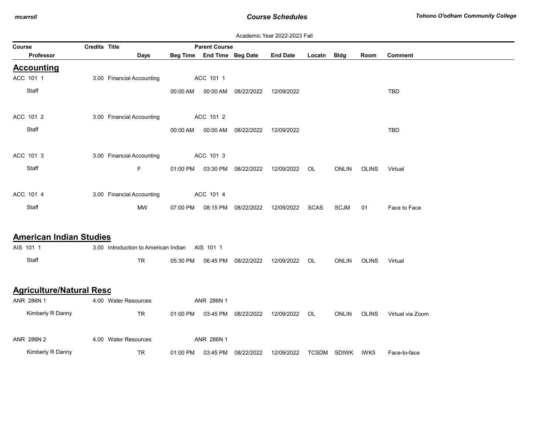|        |                                 |               |                                                |          |                            |                                | Academic Year 2022-2023 Fall |        |                  |              |                  |
|--------|---------------------------------|---------------|------------------------------------------------|----------|----------------------------|--------------------------------|------------------------------|--------|------------------|--------------|------------------|
| Course |                                 | Credits Title |                                                |          | <b>Parent Course</b>       |                                |                              |        |                  |              |                  |
|        | Professor                       |               | <b>Days</b>                                    |          | Beg Time End Time Beg Date |                                | <b>End Date</b>              | Locatn | <b>Bldg</b>      | Room         | <b>Comment</b>   |
|        | <b>Accounting</b>               |               |                                                |          |                            |                                |                              |        |                  |              |                  |
|        | ACC 101 1                       |               | 3.00 Financial Accounting                      |          | ACC 101 1                  |                                |                              |        |                  |              |                  |
|        | Staff                           |               |                                                | 00:00 AM |                            | 00:00 AM 08/22/2022            | 12/09/2022                   |        |                  |              | TBD              |
|        | ACC 101 2                       |               | 3.00 Financial Accounting                      |          | ACC 101 2                  |                                |                              |        |                  |              |                  |
|        | Staff                           |               |                                                | 00:00 AM |                            | 00:00 AM 08/22/2022            | 12/09/2022                   |        |                  |              | <b>TBD</b>       |
|        | ACC 101 3                       |               | 3.00 Financial Accounting                      |          | ACC 101 3                  |                                |                              |        |                  |              |                  |
|        | Staff                           |               | F.                                             |          |                            | 01:00 PM  03:30 PM  08/22/2022 | 12/09/2022                   | OL     | <b>ONLIN</b>     | <b>OLINS</b> | Virtual          |
|        | ACC 101 4                       |               | 3.00 Financial Accounting                      |          | ACC 101 4                  |                                |                              |        |                  |              |                  |
|        | Staff                           |               | <b>MW</b>                                      | 07:00 PM | 08:15 PM                   | 08/22/2022                     | 12/09/2022                   | SCAS   | <b>SCJM</b>      | 01           | Face to Face     |
|        | <b>American Indian Studies</b>  |               |                                                |          |                            |                                |                              |        |                  |              |                  |
|        | AIS 101 1                       |               | 3.00 Introduction to American Indian AIS 101 1 |          |                            |                                |                              |        |                  |              |                  |
|        | Staff                           |               | <b>TR</b>                                      | 05:30 PM | 06:45 PM                   | 08/22/2022                     | 12/09/2022                   | OL.    | <b>ONLIN</b>     | <b>OLINS</b> | Virtual          |
|        | <b>Agriculture/Natural Reso</b> |               |                                                |          |                            |                                |                              |        |                  |              |                  |
|        | ANR 286N 1                      |               | 4.00 Water Resources                           |          | ANR 286N 1                 |                                |                              |        |                  |              |                  |
|        | Kimberly R Danny                |               | TR                                             |          |                            | 01:00 PM  03:45 PM  08/22/2022 | 12/09/2022                   | OL     | <b>ONLIN</b>     | <b>OLINS</b> | Virtual via Zoom |
|        | ANR 286N 2                      |               | 4.00 Water Resources                           |          | ANR 286N 1                 |                                |                              |        |                  |              |                  |
|        | Kimberly R Danny                |               | <b>TR</b>                                      |          | 01:00 PM 03:45 PM          | 08/22/2022                     | 12/09/2022                   |        | TCSDM SDIWK IWK5 |              | Face-to-face     |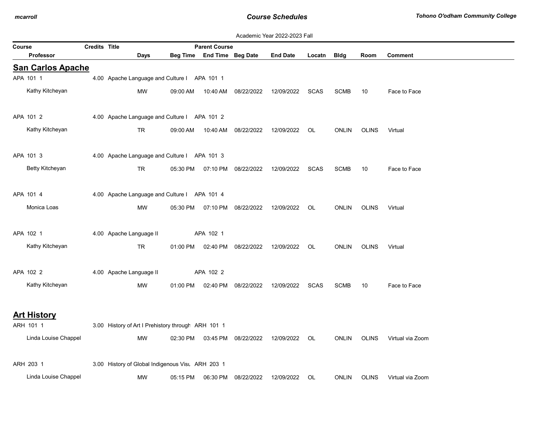| Academic Year 2022-2023 Fall<br>Course<br>Credits Title<br><b>Parent Course</b> |  |                                                    |          |                            |                                  |                 |             |              |              |                  |  |  |
|---------------------------------------------------------------------------------|--|----------------------------------------------------|----------|----------------------------|----------------------------------|-----------------|-------------|--------------|--------------|------------------|--|--|
|                                                                                 |  |                                                    |          |                            |                                  |                 |             |              |              |                  |  |  |
| Professor                                                                       |  | Days                                               |          | Beg Time End Time Beg Date |                                  | <b>End Date</b> | Locatn Bldg |              | Room         | Comment          |  |  |
| <b>San Carlos Apache</b><br>APA 101 1                                           |  | 4.00 Apache Language and Culture I APA 101 1       |          |                            |                                  |                 |             |              |              |                  |  |  |
|                                                                                 |  |                                                    |          |                            |                                  |                 |             |              |              |                  |  |  |
| Kathy Kitcheyan                                                                 |  | MW                                                 | 09:00 AM | 10:40 AM                   | 08/22/2022                       | 12/09/2022      | SCAS        | <b>SCMB</b>  | 10           | Face to Face     |  |  |
| APA 101 2                                                                       |  | 4.00 Apache Language and Culture I APA 101 2       |          |                            |                                  |                 |             |              |              |                  |  |  |
| Kathy Kitcheyan                                                                 |  | TR                                                 | 09:00 AM | 10:40 AM                   | 08/22/2022                       | 12/09/2022      | OL.         | <b>ONLIN</b> | <b>OLINS</b> | Virtual          |  |  |
| APA 101 3                                                                       |  | 4.00 Apache Language and Culture I APA 101 3       |          |                            |                                  |                 |             |              |              |                  |  |  |
| Betty Kitcheyan                                                                 |  |                                                    |          |                            |                                  |                 |             |              |              |                  |  |  |
|                                                                                 |  | TR.                                                |          |                            | 05:30 PM  07:10 PM  08/22/2022   | 12/09/2022      | <b>SCAS</b> | <b>SCMB</b>  | 10           | Face to Face     |  |  |
| APA 101 4                                                                       |  | 4.00 Apache Language and Culture I APA 101 4       |          |                            |                                  |                 |             |              |              |                  |  |  |
| Monica Loas                                                                     |  | MW                                                 |          |                            | 05:30 PM   07:10 PM   08/22/2022 | 12/09/2022      | OL.         | <b>ONLIN</b> | OLINS        | Virtual          |  |  |
| APA 102 1                                                                       |  | 4.00 Apache Language II                            |          | APA 102 1                  |                                  |                 |             |              |              |                  |  |  |
|                                                                                 |  |                                                    |          |                            |                                  |                 |             |              |              |                  |  |  |
| Kathy Kitcheyan                                                                 |  | TR                                                 | 01:00 PM |                            | 02:40 PM 08/22/2022              | 12/09/2022      | OL          | <b>ONLIN</b> | <b>OLINS</b> | Virtual          |  |  |
| APA 102 2                                                                       |  | 4.00 Apache Language II                            |          | APA 102 2                  |                                  |                 |             |              |              |                  |  |  |
| Kathy Kitcheyan                                                                 |  | MW                                                 | 01:00 PM | 02:40 PM                   | 08/22/2022                       | 12/09/2022      | SCAS        | <b>SCMB</b>  | 10           | Face to Face     |  |  |
|                                                                                 |  |                                                    |          |                            |                                  |                 |             |              |              |                  |  |  |
| <b>Art History</b>                                                              |  |                                                    |          |                            |                                  |                 |             |              |              |                  |  |  |
| ARH 101 1                                                                       |  | 3.00 History of Art I Prehistory through ARH 101 1 |          |                            |                                  |                 |             |              |              |                  |  |  |
| Linda Louise Chappel                                                            |  | MW                                                 |          |                            | 02:30 PM  03:45 PM  08/22/2022   | 12/09/2022      | OL          | <b>ONLIN</b> | <b>OLINS</b> | Virtual via Zoom |  |  |
| ARH 203 1                                                                       |  | 3.00 History of Global Indigenous Vist ARH 203 1   |          |                            |                                  |                 |             |              |              |                  |  |  |
| Linda Louise Chappel                                                            |  | MW                                                 | 05:15 PM | 06:30 PM                   | 08/22/2022                       | 12/09/2022      | OL          | <b>ONLIN</b> | <b>OLINS</b> | Virtual via Zoom |  |  |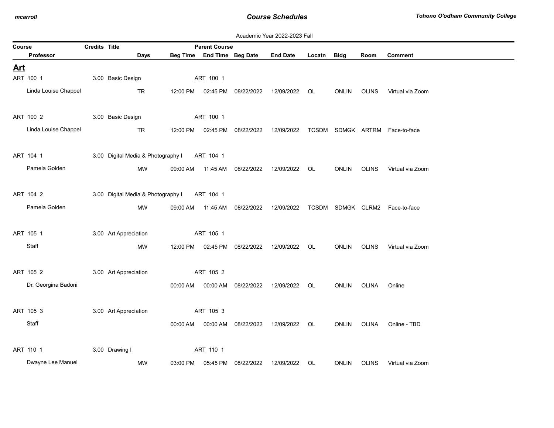|            | Academic Year 2022-2023 Fall |               |                                    |          |                            |                     |                 |        |              |              |                                |  |  |
|------------|------------------------------|---------------|------------------------------------|----------|----------------------------|---------------------|-----------------|--------|--------------|--------------|--------------------------------|--|--|
| Course     |                              | Credits Title |                                    |          | <b>Parent Course</b>       |                     |                 |        |              |              |                                |  |  |
|            | <b>Professor</b>             |               | <b>Days</b>                        |          | Beg Time End Time Beg Date |                     | <b>End Date</b> | Locatn | <b>Bldg</b>  | Room         | <b>Comment</b>                 |  |  |
| <u>Art</u> |                              |               |                                    |          |                            |                     |                 |        |              |              |                                |  |  |
|            | ART 100 1                    |               | 3.00 Basic Design                  |          | ART 100 1                  |                     |                 |        |              |              |                                |  |  |
|            | Linda Louise Chappel         |               | TR                                 | 12:00 PM | 02:45 PM                   | 08/22/2022          | 12/09/2022      | OL     | <b>ONLIN</b> | <b>OLINS</b> | Virtual via Zoom               |  |  |
|            | ART 100 2                    |               | 3.00 Basic Design                  |          | ART 100 1                  |                     |                 |        |              |              |                                |  |  |
|            | Linda Louise Chappel         |               | TR                                 | 12:00 PM |                            | 02:45 PM 08/22/2022 | 12/09/2022      |        |              |              | TCSDM SDMGK ARTRM Face-to-face |  |  |
|            | ART 104 1                    |               | 3.00 Digital Media & Photography I |          | ART 104 1                  |                     |                 |        |              |              |                                |  |  |
|            | Pamela Golden                |               | <b>MW</b>                          | 09:00 AM | 11:45 AM                   | 08/22/2022          | 12/09/2022      | OL     | <b>ONLIN</b> | <b>OLINS</b> | Virtual via Zoom               |  |  |
|            | ART 104 2                    |               | 3.00 Digital Media & Photography I |          | ART 104 1                  |                     |                 |        |              |              |                                |  |  |
|            | Pamela Golden                |               | <b>MW</b>                          | 09:00 AM | 11:45 AM                   | 08/22/2022          | 12/09/2022      |        |              |              | TCSDM SDMGK CLRM2 Face-to-face |  |  |
|            | ART 105 1                    |               | 3.00 Art Appreciation              |          | ART 105 1                  |                     |                 |        |              |              |                                |  |  |
|            | Staff                        |               | <b>MW</b>                          | 12:00 PM | 02:45 PM                   | 08/22/2022          | 12/09/2022      | OL     | ONLIN        | <b>OLINS</b> | Virtual via Zoom               |  |  |
|            | ART 105 2                    |               | 3.00 Art Appreciation              |          | ART 105 2                  |                     |                 |        |              |              |                                |  |  |
|            | Dr. Georgina Badoni          |               |                                    | 00:00 AM | 00:00 AM                   | 08/22/2022          | 12/09/2022      | OL     | <b>ONLIN</b> | OLINA        | Online                         |  |  |
|            | ART 105 3                    |               | 3.00 Art Appreciation              |          | ART 105 3                  |                     |                 |        |              |              |                                |  |  |
|            | Staff                        |               |                                    | 00:00 AM | 00:00 AM                   | 08/22/2022          | 12/09/2022      | OL     | <b>ONLIN</b> | OLINA        | Online - TBD                   |  |  |
|            | ART 110 1                    |               | 3.00 Drawing I                     |          | ART 110 1                  |                     |                 |        |              |              |                                |  |  |
|            | Dwayne Lee Manuel            |               | <b>MW</b>                          | 03:00 PM | 05:45 PM                   | 08/22/2022          | 12/09/2022      | OL     | <b>ONLIN</b> | <b>OLINS</b> | Virtual via Zoom               |  |  |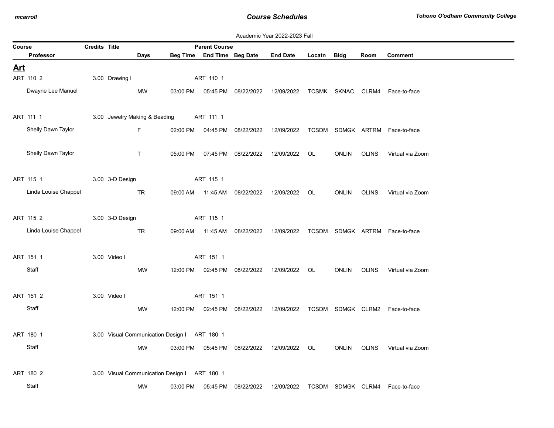|  | Academic Year 2022-2023 Fall |  |
|--|------------------------------|--|
|  |                              |  |

| Course     |                      | <b>Credits Title</b> |                 |                                              |          | <b>Parent Course</b> |                                  | Academne Tear EULL-LULU I am                   |             |                   |             |                                                                               |
|------------|----------------------|----------------------|-----------------|----------------------------------------------|----------|----------------------|----------------------------------|------------------------------------------------|-------------|-------------------|-------------|-------------------------------------------------------------------------------|
|            | Professor            |                      |                 | Days                                         |          |                      | Beg Time End Time Beg Date       | <b>End Date</b>                                | Locatn Bldg |                   | Room        | Comment                                                                       |
| <u>Art</u> |                      |                      |                 |                                              |          |                      |                                  |                                                |             |                   |             |                                                                               |
|            | ART 110 2            |                      | 3.00 Drawing I  |                                              |          | ART 110 1            |                                  |                                                |             |                   |             |                                                                               |
|            | Dwayne Lee Manuel    |                      |                 | MW                                           |          |                      |                                  |                                                |             |                   |             | 03:00 PM  05:45 PM  08/22/2022  12/09/2022  TCSMK  SKNAC  CLRM4  Face-to-face |
|            | ART 111 1            |                      |                 | 3.00 Jewelry Making & Beading                |          | ART 111 1            |                                  |                                                |             |                   |             |                                                                               |
|            | Shelly Dawn Taylor   |                      |                 | F.                                           |          |                      | 02:00 PM   04:45 PM   08/22/2022 |                                                |             |                   |             | 12/09/2022 TCSDM SDMGK ARTRM Face-to-face                                     |
|            | Shelly Dawn Taylor   |                      |                 | $\mathsf T$                                  | 05:00 PM |                      | 07:45 PM 08/22/2022              | 12/09/2022                                     | OL          | ONLIN             | OLINS       | Virtual via Zoom                                                              |
|            | ART 115 1            |                      | 3.00 3-D Design |                                              |          | ART 115 1            |                                  |                                                |             |                   |             |                                                                               |
|            | Linda Louise Chappel |                      |                 | TR.                                          |          | 09:00 AM  11:45 AM   | 08/22/2022                       | 12/09/2022                                     | OL          | ONLIN OLINS       |             | Virtual via Zoom                                                              |
|            | ART 115 2            |                      | 3.00 3-D Design |                                              |          | ART 115 1            |                                  |                                                |             |                   |             |                                                                               |
|            | Linda Louise Chappel |                      |                 | TR                                           |          |                      | 09:00 AM  11:45 AM  08/22/2022   |                                                |             |                   |             | 12/09/2022 TCSDM SDMGK ARTRM Face-to-face                                     |
|            | ART 151 1            |                      | 3.00 Video I    |                                              |          | ART 151 1            |                                  |                                                |             |                   |             |                                                                               |
|            | Staff                |                      |                 | MW                                           |          |                      |                                  | 12:00 PM  02:45 PM  08/22/2022  12/09/2022  OL |             |                   | ONLIN OLINS | Virtual via Zoom                                                              |
|            | ART 151 2            |                      | 3.00 Video I    |                                              |          | ART 151 1            |                                  |                                                |             |                   |             |                                                                               |
|            | Staff                |                      |                 | MW                                           |          |                      |                                  |                                                |             |                   |             | 12:00 PM 02:45 PM 08/22/2022 12/09/2022 TCSDM SDMGK CLRM2 Face-to-face        |
|            | ART 180 1            |                      |                 | 3.00 Visual Communication Design I ART 180 1 |          |                      |                                  |                                                |             |                   |             |                                                                               |
|            | Staff                |                      |                 | MW                                           |          |                      |                                  | 03:00 PM  05:45 PM  08/22/2022  12/09/2022  OL |             |                   |             | ONLIN OLINS Virtual via Zoom                                                  |
|            | ART 180 2            |                      |                 | 3.00 Visual Communication Design I ART 180 1 |          |                      |                                  |                                                |             |                   |             |                                                                               |
|            | Staff                |                      |                 | MW                                           | 03:00 PM | 05:45 PM             | 08/22/2022                       | 12/09/2022                                     |             | TCSDM SDMGK CLRM4 |             | Face-to-face                                                                  |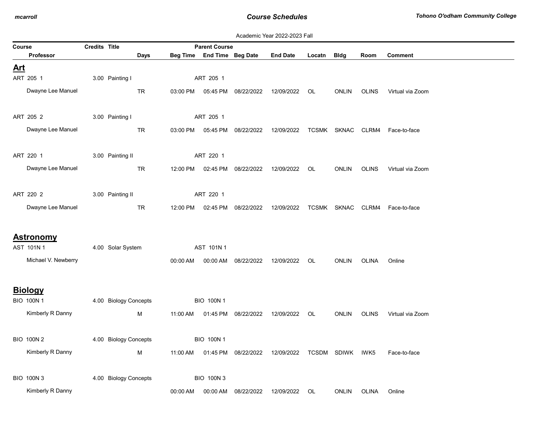|            |                                    |                      |                       |           |          |                            |            | Academic Year 2022-2023 Fall |        |                   |              |                                |
|------------|------------------------------------|----------------------|-----------------------|-----------|----------|----------------------------|------------|------------------------------|--------|-------------------|--------------|--------------------------------|
| Course     |                                    | <b>Credits Title</b> |                       |           |          | <b>Parent Course</b>       |            |                              |        |                   |              |                                |
|            | Professor                          |                      |                       | Days      |          | Beg Time End Time Beg Date |            | <b>End Date</b>              | Locatn | <b>Bldg</b>       | Room         | <b>Comment</b>                 |
| <u>Art</u> |                                    |                      |                       |           |          |                            |            |                              |        |                   |              |                                |
|            | ART 205 1                          |                      | 3.00 Painting I       |           |          | ART 205 1                  |            |                              |        |                   |              |                                |
|            | Dwayne Lee Manuel                  |                      |                       | TR        | 03:00 PM | 05:45 PM                   | 08/22/2022 | 12/09/2022                   | OL.    | <b>ONLIN</b>      | <b>OLINS</b> | Virtual via Zoom               |
|            | ART 205 2                          |                      | 3.00 Painting I       |           |          | ART 205 1                  |            |                              |        |                   |              |                                |
|            | Dwayne Lee Manuel                  |                      |                       | TR        | 03:00 PM | 05:45 PM                   | 08/22/2022 | 12/09/2022                   |        |                   |              | TCSMK SKNAC CLRM4 Face-to-face |
|            | ART 220 1                          |                      | 3.00 Painting II      |           |          | ART 220 1                  |            |                              |        |                   |              |                                |
|            | Dwayne Lee Manuel                  |                      |                       | TR        |          | 12:00 PM 02:45 PM          | 08/22/2022 | 12/09/2022 OL                |        | <b>ONLIN</b>      | <b>OLINS</b> | Virtual via Zoom               |
|            | ART 220 2                          |                      | 3.00 Painting II      |           |          | ART 220 1                  |            |                              |        |                   |              |                                |
|            | Dwayne Lee Manuel                  |                      |                       | <b>TR</b> | 12:00 PM | 02:45 PM                   | 08/22/2022 | 12/09/2022                   |        | TCSMK SKNAC CLRM4 |              | Face-to-face                   |
|            | <b>Astronomy</b><br>AST 101N 1     |                      | 4.00 Solar System     |           |          | AST 101N 1                 |            |                              |        |                   |              |                                |
|            | Michael V. Newberry                |                      |                       |           | 00:00 AM | 00:00 AM                   | 08/22/2022 | 12/09/2022                   | OL     | <b>ONLIN</b>      | OLINA        | Online                         |
|            | <b>Biology</b><br><b>BIO 100N1</b> |                      | 4.00 Biology Concepts |           |          | <b>BIO 100N1</b>           |            |                              |        |                   |              |                                |
|            | Kimberly R Danny                   |                      |                       | М         | 11:00 AM | 01:45 PM                   | 08/22/2022 | 12/09/2022                   | OL     | <b>ONLIN</b>      | <b>OLINS</b> | Virtual via Zoom               |
|            | <b>BIO 100N 2</b>                  |                      | 4.00 Biology Concepts |           |          | <b>BIO 100N1</b>           |            |                              |        |                   |              |                                |
|            | Kimberly R Danny                   |                      |                       | М         | 11:00 AM | 01:45 PM                   | 08/22/2022 | 12/09/2022                   |        | TCSDM SDIWK IWK5  |              | Face-to-face                   |
|            | <b>BIO 100N3</b>                   |                      | 4.00 Biology Concepts |           |          | <b>BIO 100N3</b>           |            |                              |        |                   |              |                                |
|            | Kimberly R Danny                   |                      |                       |           | 00:00 AM | 00:00 AM                   | 08/22/2022 | 12/09/2022                   | OL     | <b>ONLIN</b>      | <b>OLINA</b> | Online                         |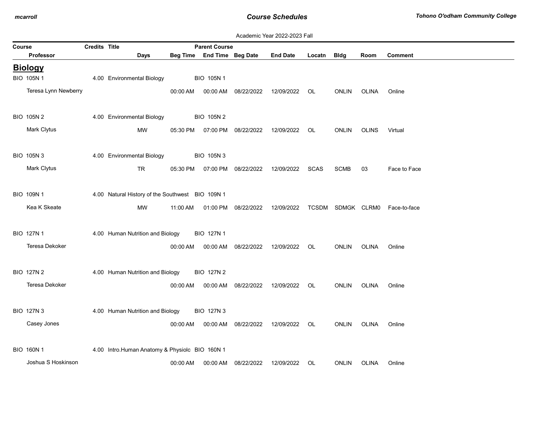|        |                       |                      |                                                  |          |                      |            | Academic Year 2022-2023 Fall |             |                   |              |                |
|--------|-----------------------|----------------------|--------------------------------------------------|----------|----------------------|------------|------------------------------|-------------|-------------------|--------------|----------------|
| Course |                       | <b>Credits Title</b> |                                                  |          | <b>Parent Course</b> |            |                              |             |                   |              |                |
|        | <b>Professor</b>      |                      | Days                                             | Beg Time | End Time Beg Date    |            | <b>End Date</b>              | Locatn      | <b>Bldg</b>       | Room         | <b>Comment</b> |
|        | <b>Biology</b>        |                      |                                                  |          |                      |            |                              |             |                   |              |                |
|        | BIO 105N 1            |                      | 4.00 Environmental Biology                       |          | BIO 105N 1           |            |                              |             |                   |              |                |
|        | Teresa Lynn Newberry  |                      |                                                  | 00:00 AM | 00:00 AM             | 08/22/2022 | 12/09/2022                   | OL          | <b>ONLIN</b>      | <b>OLINA</b> | Online         |
|        | BIO 105N 2            |                      | 4.00 Environmental Biology                       |          | <b>BIO 105N2</b>     |            |                              |             |                   |              |                |
|        | Mark Clytus           |                      | <b>MW</b>                                        | 05:30 PM | 07:00 PM             | 08/22/2022 | 12/09/2022                   | OL          | <b>ONLIN</b>      | <b>OLINS</b> | Virtual        |
|        | BIO 105N 3            |                      | 4.00 Environmental Biology                       |          | <b>BIO 105N3</b>     |            |                              |             |                   |              |                |
|        | Mark Clytus           |                      | <b>TR</b>                                        | 05:30 PM | 07:00 PM             | 08/22/2022 | 12/09/2022                   | <b>SCAS</b> | <b>SCMB</b>       | 03           | Face to Face   |
|        | BIO 109N 1            |                      | 4.00 Natural History of the Southwest BIO 109N 1 |          |                      |            |                              |             |                   |              |                |
|        | Kea K Skeate          |                      | <b>MW</b>                                        | 11:00 AM | 01:00 PM             | 08/22/2022 | 12/09/2022                   |             | TCSDM SDMGK CLRM0 |              | Face-to-face   |
|        | BIO 127N 1            |                      | 4.00 Human Nutrition and Biology                 |          | <b>BIO 127N1</b>     |            |                              |             |                   |              |                |
|        | <b>Teresa Dekoker</b> |                      |                                                  | 00:00 AM | 00:00 AM             | 08/22/2022 | 12/09/2022                   | OL          | <b>ONLIN</b>      | <b>OLINA</b> | Online         |
|        | <b>BIO 127N 2</b>     |                      | 4.00 Human Nutrition and Biology                 |          | <b>BIO 127N 2</b>    |            |                              |             |                   |              |                |
|        | Teresa Dekoker        |                      |                                                  | 00:00 AM | 00:00 AM             | 08/22/2022 | 12/09/2022                   | OL          | <b>ONLIN</b>      | <b>OLINA</b> | Online         |
|        | <b>BIO 127N 3</b>     |                      | 4.00 Human Nutrition and Biology                 |          | <b>BIO 127N 3</b>    |            |                              |             |                   |              |                |
|        | Casey Jones           |                      |                                                  | 00:00 AM | 00:00 AM             | 08/22/2022 | 12/09/2022                   | OL          | <b>ONLIN</b>      | <b>OLINA</b> | Online         |
|        | <b>BIO 160N1</b>      |                      | 4.00 Intro.Human Anatomy & Physiolc BIO 160N 1   |          |                      |            |                              |             |                   |              |                |
|        | Joshua S Hoskinson    |                      |                                                  | 00:00 AM | 00:00 AM             | 08/22/2022 | 12/09/2022                   | OL          | <b>ONLIN</b>      | <b>OLINA</b> | Online         |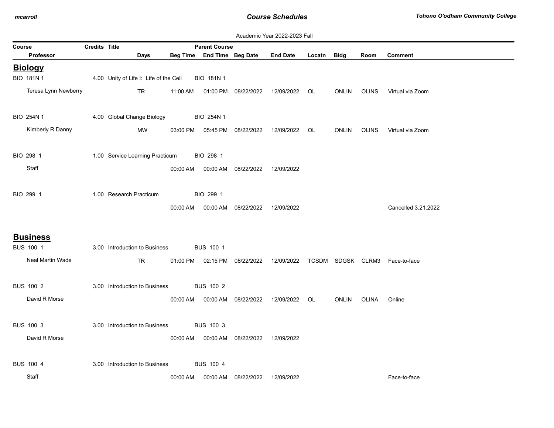|        | Academic Year 2022-2023 Fall<br>Credits Title<br><b>Parent Course</b> |  |                                        |          |                   |                                  |                 |        |              |              |                                |
|--------|-----------------------------------------------------------------------|--|----------------------------------------|----------|-------------------|----------------------------------|-----------------|--------|--------------|--------------|--------------------------------|
| Course |                                                                       |  |                                        |          |                   |                                  |                 |        |              |              |                                |
|        | <b>Professor</b>                                                      |  | Days                                   | Beg Time | End Time Beg Date |                                  | <b>End Date</b> | Locatn | <b>Bldg</b>  | Room         | <b>Comment</b>                 |
|        | <b>Biology</b>                                                        |  |                                        |          |                   |                                  |                 |        |              |              |                                |
|        | BIO 181N 1                                                            |  | 4.00 Unity of Life I: Life of the Cell |          | <b>BIO 181N1</b>  |                                  |                 |        |              |              |                                |
|        | Teresa Lynn Newberry                                                  |  | <b>TR</b>                              | 11:00 AM |                   | 01:00 PM 08/22/2022              | 12/09/2022      | OL.    | <b>ONLIN</b> | <b>OLINS</b> | Virtual via Zoom               |
|        |                                                                       |  |                                        |          |                   |                                  |                 |        |              |              |                                |
|        | BIO 254N 1                                                            |  | 4.00 Global Change Biology             |          | BIO 254N 1        |                                  |                 |        |              |              |                                |
|        | Kimberly R Danny                                                      |  | MW                                     | 03:00 PM |                   | 05:45 PM 08/22/2022              | 12/09/2022      | OL     | <b>ONLIN</b> | <b>OLINS</b> | Virtual via Zoom               |
|        |                                                                       |  |                                        |          |                   |                                  |                 |        |              |              |                                |
|        | BIO 298 1                                                             |  | 1.00 Service Learning Practicum        |          | BIO 298 1         |                                  |                 |        |              |              |                                |
|        | Staff                                                                 |  |                                        | 00:00 AM |                   | 00:00 AM 08/22/2022              | 12/09/2022      |        |              |              |                                |
|        |                                                                       |  |                                        |          |                   |                                  |                 |        |              |              |                                |
|        | BIO 299 1                                                             |  | 1.00 Research Practicum                |          | BIO 299 1         |                                  |                 |        |              |              |                                |
|        |                                                                       |  |                                        | 00:00 AM |                   | 00:00 AM 08/22/2022              | 12/09/2022      |        |              |              | Cancelled 3.21.2022            |
|        |                                                                       |  |                                        |          |                   |                                  |                 |        |              |              |                                |
|        | <b>Business</b>                                                       |  |                                        |          |                   |                                  |                 |        |              |              |                                |
|        | BUS 100 1                                                             |  | 3.00 Introduction to Business          |          | <b>BUS 100 1</b>  |                                  |                 |        |              |              |                                |
|        | Neal Martin Wade                                                      |  | <b>TR</b>                              |          |                   | 01:00 PM   02:15 PM   08/22/2022 | 12/09/2022      |        |              |              | TCSDM SDGSK CLRM3 Face-to-face |
|        |                                                                       |  |                                        |          |                   |                                  |                 |        |              |              |                                |
|        | <b>BUS 100 2</b>                                                      |  | 3.00 Introduction to Business          |          | <b>BUS 100 2</b>  |                                  |                 |        |              |              |                                |
|        |                                                                       |  |                                        |          |                   |                                  |                 |        |              |              |                                |
|        | David R Morse                                                         |  |                                        | 00:00 AM |                   | 00:00 AM 08/22/2022              | 12/09/2022      | OL     | ONLIN        | OLINA        | Online                         |
|        |                                                                       |  |                                        |          |                   |                                  |                 |        |              |              |                                |
|        | <b>BUS 100 3</b>                                                      |  | 3.00 Introduction to Business          |          | <b>BUS 100 3</b>  |                                  |                 |        |              |              |                                |
|        | David R Morse                                                         |  |                                        | 00:00 AM |                   | 00:00 AM 08/22/2022              | 12/09/2022      |        |              |              |                                |
|        |                                                                       |  |                                        |          |                   |                                  |                 |        |              |              |                                |
|        | <b>BUS 100 4</b>                                                      |  | 3.00 Introduction to Business          |          | <b>BUS 100 4</b>  |                                  |                 |        |              |              |                                |
|        | Staff                                                                 |  |                                        | 00:00 AM |                   | 00:00 AM 08/22/2022              | 12/09/2022      |        |              |              | Face-to-face                   |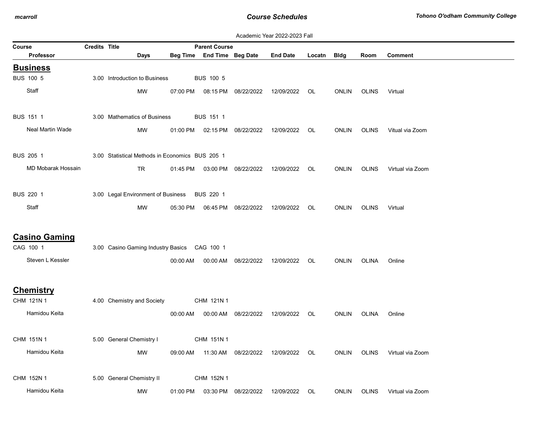|                                                       |                      |                                                 |          |                            |                     | Academic Year 2022-2023 Fall |        |              |              |                  |
|-------------------------------------------------------|----------------------|-------------------------------------------------|----------|----------------------------|---------------------|------------------------------|--------|--------------|--------------|------------------|
| Course                                                | <b>Credits Title</b> |                                                 |          | <b>Parent Course</b>       |                     |                              |        |              |              |                  |
| <b>Professor</b>                                      |                      | Days                                            |          | Beg Time End Time Beg Date |                     | <b>End Date</b>              | Locatn | Bldg         | Room         | <b>Comment</b>   |
| <b>Business</b>                                       |                      |                                                 |          |                            |                     |                              |        |              |              |                  |
| BUS 100 5                                             |                      | 3.00 Introduction to Business                   |          | <b>BUS 100 5</b>           |                     |                              |        |              |              |                  |
| Staff                                                 |                      | MW                                              | 07:00 PM |                            | 08:15 PM 08/22/2022 | 12/09/2022                   | OL     | <b>ONLIN</b> | <b>OLINS</b> | Virtual          |
| BUS 151 1                                             |                      | 3.00 Mathematics of Business                    |          | BUS 151 1                  |                     |                              |        |              |              |                  |
| Neal Martin Wade                                      |                      | MW                                              | 01:00 PM |                            | 02:15 PM 08/22/2022 | 12/09/2022                   | OL.    | <b>ONLIN</b> | <b>OLINS</b> | Vitual via Zoom  |
| <b>BUS 205 1</b>                                      |                      | 3.00 Statistical Methods in Economics BUS 205 1 |          |                            |                     |                              |        |              |              |                  |
| MD Mobarak Hossain                                    |                      | <b>TR</b>                                       | 01:45 PM |                            | 03:00 PM 08/22/2022 | 12/09/2022                   | OL.    | <b>ONLIN</b> | <b>OLINS</b> | Virtual via Zoom |
| BUS 220 1                                             |                      | 3.00 Legal Environment of Business              |          | BUS 220 1                  |                     |                              |        |              |              |                  |
| Staff                                                 |                      | <b>MW</b>                                       | 05:30 PM |                            | 06:45 PM 08/22/2022 | 12/09/2022                   | OL     | <b>ONLIN</b> | <b>OLINS</b> | Virtual          |
| <b>Casino Gaming</b><br>CAG 100 1<br>Steven L Kessler |                      | 3.00 Casino Gaming Industry Basics CAG 100 1    | 00:00 AM | 00:00 AM                   | 08/22/2022          | 12/09/2022                   | OL     | <b>ONLIN</b> | OLINA        | Online           |
| <b>Chemistry</b><br>CHM 121N 1                        |                      | 4.00 Chemistry and Society                      |          | CHM 121N 1                 |                     |                              |        |              |              |                  |
| Hamidou Keita                                         |                      |                                                 | 00:00 AM |                            | 00:00 AM 08/22/2022 | 12/09/2022                   | OL     | <b>ONLIN</b> | OLINA        | Online           |
| CHM 151N 1                                            |                      | 5.00 General Chemistry I                        |          | CHM 151N 1                 |                     |                              |        |              |              |                  |
| Hamidou Keita                                         |                      | MW                                              | 09:00 AM |                            | 11:30 AM 08/22/2022 | 12/09/2022                   | OL     | <b>ONLIN</b> | <b>OLINS</b> | Virtual via Zoom |
| CHM 152N 1                                            |                      | 5.00 General Chemistry II                       |          | CHM 152N 1                 |                     |                              |        |              |              |                  |
| Hamidou Keita                                         |                      | MW                                              | 01:00 PM |                            | 03:30 PM 08/22/2022 | 12/09/2022                   | OL     | <b>ONLIN</b> | <b>OLINS</b> | Virtual via Zoom |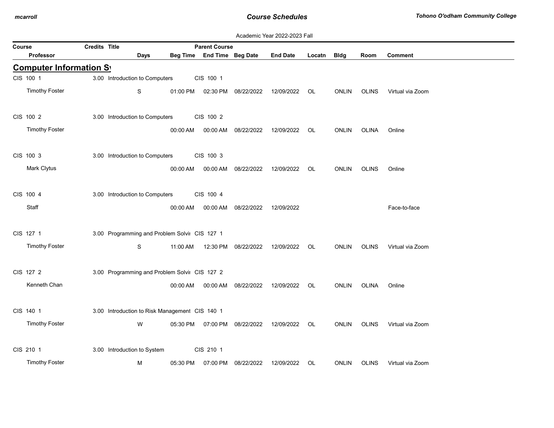|                       |                                |                                                |          |                            |                     | Academic Year 2022-2023 Fall |        |              |              |                  |
|-----------------------|--------------------------------|------------------------------------------------|----------|----------------------------|---------------------|------------------------------|--------|--------------|--------------|------------------|
| Course                | Credits Title                  |                                                |          | <b>Parent Course</b>       |                     |                              |        |              |              |                  |
| <b>Professor</b>      |                                | <b>Days</b>                                    |          | Beg Time End Time Beg Date |                     | <b>End Date</b>              | Locatn | <b>Bldg</b>  | Room         | <b>Comment</b>   |
|                       | <b>Computer Information Sy</b> |                                                |          |                            |                     |                              |        |              |              |                  |
| CIS 100 1             |                                | 3.00 Introduction to Computers                 |          | CIS 100 1                  |                     |                              |        |              |              |                  |
| <b>Timothy Foster</b> |                                | S                                              | 01:00 PM |                            | 02:30 PM 08/22/2022 | 12/09/2022                   | OL     | <b>ONLIN</b> | <b>OLINS</b> | Virtual via Zoom |
| CIS 100 2             |                                | 3.00 Introduction to Computers                 |          | CIS 100 2                  |                     |                              |        |              |              |                  |
| <b>Timothy Foster</b> |                                |                                                | 00:00 AM | 00:00 AM                   | 08/22/2022          | 12/09/2022                   | OL     | <b>ONLIN</b> | <b>OLINA</b> | Online           |
| CIS 100 3             |                                | 3.00 Introduction to Computers                 |          | CIS 100 3                  |                     |                              |        |              |              |                  |
| Mark Clytus           |                                |                                                | 00:00 AM | 00:00 AM                   | 08/22/2022          | 12/09/2022                   | OL     | <b>ONLIN</b> | <b>OLINS</b> | Online           |
|                       |                                |                                                |          |                            |                     |                              |        |              |              |                  |
| CIS 100 4             |                                | 3.00 Introduction to Computers                 |          | CIS 100 4                  |                     |                              |        |              |              |                  |
| Staff                 |                                |                                                | 00:00 AM | 00:00 AM                   | 08/22/2022          | 12/09/2022                   |        |              |              | Face-to-face     |
| CIS 127 1             |                                | 3.00 Programming and Problem Solvir CIS 127 1  |          |                            |                     |                              |        |              |              |                  |
| <b>Timothy Foster</b> |                                | S                                              | 11:00 AM |                            | 12:30 PM 08/22/2022 | 12/09/2022                   | OL     | ONLIN        | OLINS        | Virtual via Zoom |
| CIS 127 2             |                                | 3.00 Programming and Problem Solvir CIS 127 2  |          |                            |                     |                              |        |              |              |                  |
| Kenneth Chan          |                                |                                                | 00:00 AM | 00:00 AM                   | 08/22/2022          | 12/09/2022                   | OL     | <b>ONLIN</b> | <b>OLINA</b> | Online           |
|                       |                                |                                                |          |                            |                     |                              |        |              |              |                  |
| CIS 140 1             |                                | 3.00 Introduction to Risk Management CIS 140 1 |          |                            |                     |                              |        |              |              |                  |
| <b>Timothy Foster</b> |                                | W                                              | 05:30 PM | 07:00 PM                   | 08/22/2022          | 12/09/2022                   | OL     | <b>ONLIN</b> | <b>OLINS</b> | Virtual via Zoom |
| CIS 210 1             |                                | 3.00 Introduction to System                    |          | CIS 210 1                  |                     |                              |        |              |              |                  |
| <b>Timothy Foster</b> |                                | М                                              | 05:30 PM |                            | 07:00 PM 08/22/2022 | 12/09/2022                   | OL     | <b>ONLIN</b> | <b>OLINS</b> | Virtual via Zoom |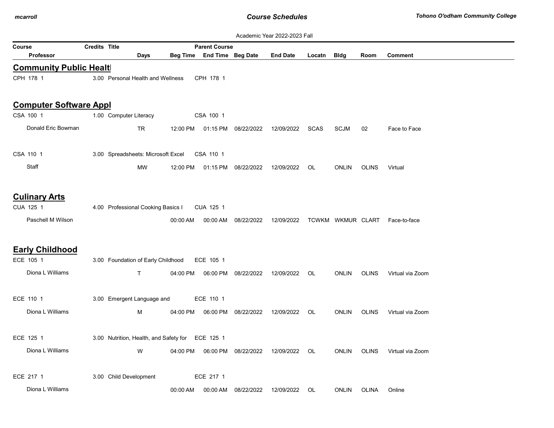|                               |                      |                                                  |          |                            |                     | Academic Year 2022-2023 Fall                                        |        |              |              |                  |
|-------------------------------|----------------------|--------------------------------------------------|----------|----------------------------|---------------------|---------------------------------------------------------------------|--------|--------------|--------------|------------------|
| Course                        | <b>Credits Title</b> |                                                  |          | <b>Parent Course</b>       |                     |                                                                     |        |              |              |                  |
| Professor                     |                      | Days                                             |          | Beg Time End Time Beg Date |                     | <b>End Date</b>                                                     | Locatn | Bldg         | Room         | <b>Comment</b>   |
| <b>Community Public Healt</b> |                      |                                                  |          |                            |                     |                                                                     |        |              |              |                  |
| CPH 178 1                     |                      | 3.00 Personal Health and Wellness                |          | CPH 178 1                  |                     |                                                                     |        |              |              |                  |
|                               |                      |                                                  |          |                            |                     |                                                                     |        |              |              |                  |
| <b>Computer Software Appl</b> |                      |                                                  |          |                            |                     |                                                                     |        |              |              |                  |
| CSA 100 1                     |                      | 1.00 Computer Literacy                           |          | CSA 100 1                  |                     |                                                                     |        |              |              |                  |
| Donald Eric Bowman            |                      | TR                                               | 12:00 PM |                            | 01:15 PM 08/22/2022 | 12/09/2022                                                          | SCAS   | <b>SCJM</b>  | 02           | Face to Face     |
|                               |                      |                                                  |          |                            |                     |                                                                     |        |              |              |                  |
| CSA 110 1                     |                      | 3.00 Spreadsheets: Microsoft Excel               |          | CSA 110 1                  |                     |                                                                     |        |              |              |                  |
| Staff                         |                      | MW                                               | 12:00 PM | 01:15 PM                   | 08/22/2022          | 12/09/2022                                                          | OL     | <b>ONLIN</b> | OLINS        | Virtual          |
|                               |                      |                                                  |          |                            |                     |                                                                     |        |              |              |                  |
| <b>Culinary Arts</b>          |                      |                                                  |          |                            |                     |                                                                     |        |              |              |                  |
| CUA 125 1                     |                      | 4.00 Professional Cooking Basics I               |          | CUA 125 1                  |                     |                                                                     |        |              |              |                  |
| Paschell M Wilson             |                      |                                                  | 00:00 AM |                            |                     | 00:00 AM  08/22/2022  12/09/2022  TCWKM  WKMUR  CLART  Face-to-face |        |              |              |                  |
|                               |                      |                                                  |          |                            |                     |                                                                     |        |              |              |                  |
| <b>Early Childhood</b>        |                      |                                                  |          |                            |                     |                                                                     |        |              |              |                  |
| ECE 105 1                     |                      | 3.00 Foundation of Early Childhood               |          | ECE 105 1                  |                     |                                                                     |        |              |              |                  |
| Diona L Williams              |                      | $\mathsf{T}$                                     | 04:00 PM |                            | 06:00 PM 08/22/2022 | 12/09/2022                                                          | OL     | <b>ONLIN</b> | <b>OLINS</b> | Virtual via Zoom |
|                               |                      |                                                  |          |                            |                     |                                                                     |        |              |              |                  |
| ECE 110 1                     |                      | 3.00 Emergent Language and                       |          | ECE 110 1                  |                     |                                                                     |        |              |              |                  |
| Diona L Williams              |                      | M                                                | 04:00 PM | 06:00 PM                   | 08/22/2022          | 12/09/2022                                                          | OL.    | <b>ONLIN</b> | <b>OLINS</b> | Virtual via Zoom |
|                               |                      |                                                  |          |                            |                     |                                                                     |        |              |              |                  |
| ECE 125 1                     |                      | 3.00 Nutrition, Health, and Safety for ECE 125 1 |          |                            |                     |                                                                     |        |              |              |                  |
| Diona L Williams              |                      | W                                                | 04:00 PM |                            | 06:00 PM 08/22/2022 | 12/09/2022                                                          | OL     | <b>ONLIN</b> | <b>OLINS</b> | Virtual via Zoom |
|                               |                      |                                                  |          |                            |                     |                                                                     |        |              |              |                  |
| ECE 217 1                     |                      | 3.00 Child Development                           |          | ECE 217 1                  |                     |                                                                     |        |              |              |                  |
| Diona L Williams              |                      |                                                  | 00:00 AM | 00:00 AM                   | 08/22/2022          | 12/09/2022                                                          | OL     | <b>ONLIN</b> | OLINA        | Online           |
|                               |                      |                                                  |          |                            |                     |                                                                     |        |              |              |                  |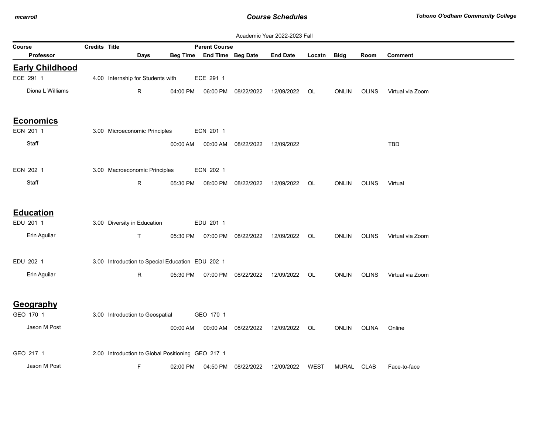|                        |               |                                                   |          |                            |                     | Academic Year 2022-2023 Fall |        |              |              |                  |
|------------------------|---------------|---------------------------------------------------|----------|----------------------------|---------------------|------------------------------|--------|--------------|--------------|------------------|
| Course                 | Credits Title |                                                   |          | <b>Parent Course</b>       |                     |                              |        |              |              |                  |
| <b>Professor</b>       |               | Days                                              |          | Beg Time End Time Beg Date |                     | <b>End Date</b>              | Locatn | <b>Bldg</b>  | Room         | <b>Comment</b>   |
| <b>Early Childhood</b> |               |                                                   |          |                            |                     |                              |        |              |              |                  |
| ECE 291 1              |               | 4.00 Internship for Students with                 |          | ECE 291 1                  |                     |                              |        |              |              |                  |
| Diona L Williams       |               | R                                                 | 04:00 PM | 06:00 PM                   | 08/22/2022          | 12/09/2022                   | OL     | <b>ONLIN</b> | <b>OLINS</b> | Virtual via Zoom |
| <b>Economics</b>       |               |                                                   |          |                            |                     |                              |        |              |              |                  |
| ECN 201 1              |               | 3.00 Microeconomic Principles                     |          | ECN 201 1                  |                     |                              |        |              |              |                  |
| Staff                  |               |                                                   | 00:00 AM |                            | 00:00 AM 08/22/2022 | 12/09/2022                   |        |              |              | TBD              |
| ECN 202 1              |               | 3.00 Macroeconomic Principles                     |          | ECN 202 1                  |                     |                              |        |              |              |                  |
| Staff                  |               | $\mathsf{R}$                                      | 05:30 PM | 08:00 PM                   | 08/22/2022          | 12/09/2022                   | OL.    | <b>ONLIN</b> | <b>OLINS</b> | Virtual          |
| <b>Education</b>       |               |                                                   |          |                            |                     |                              |        |              |              |                  |
| EDU 201 1              |               | 3.00 Diversity in Education                       |          | EDU 201 1                  |                     |                              |        |              |              |                  |
| Erin Aguilar           |               | $\mathsf{T}$                                      | 05:30 PM | 07:00 PM                   | 08/22/2022          | 12/09/2022                   | OL     | <b>ONLIN</b> | <b>OLINS</b> | Virtual via Zoom |
| EDU 202 1              |               | 3.00 Introduction to Special Education EDU 202 1  |          |                            |                     |                              |        |              |              |                  |
| Erin Aguilar           |               | R.                                                | 05:30 PM | 07:00 PM                   | 08/22/2022          | 12/09/2022                   | OL.    | <b>ONLIN</b> | <b>OLINS</b> | Virtual via Zoom |
| Geography<br>GEO 170 1 |               | 3.00 Introduction to Geospatial                   |          | GEO 170 1                  |                     |                              |        |              |              |                  |
|                        |               |                                                   |          |                            |                     |                              |        |              |              |                  |
| Jason M Post           |               |                                                   | 00:00 AM | 00:00 AM                   | 08/22/2022          | 12/09/2022                   | OL     | <b>ONLIN</b> | <b>OLINA</b> | Online           |
| GEO 217 1              |               | 2.00 Introduction to Global Positioning GEO 217 1 |          |                            |                     |                              |        |              |              |                  |
| Jason M Post           |               | F                                                 | 02:00 PM | 04:50 PM                   | 08/22/2022          | 12/09/2022                   | WEST   | MURAL CLAB   |              | Face-to-face     |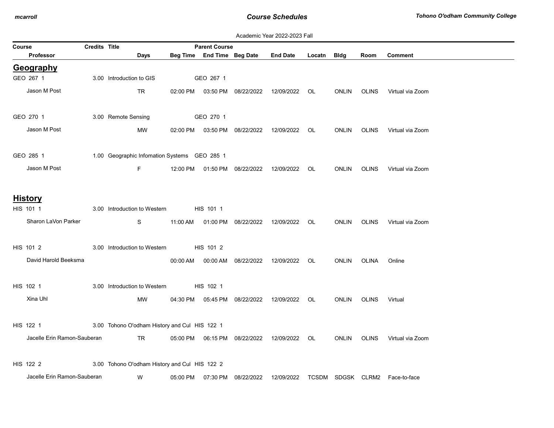|        | Academic Year 2022-2023 Fall |               |                                               |          |                      |                                  |                 |        |                   |              |                  |
|--------|------------------------------|---------------|-----------------------------------------------|----------|----------------------|----------------------------------|-----------------|--------|-------------------|--------------|------------------|
| Course |                              | Credits Title |                                               |          | <b>Parent Course</b> |                                  |                 |        |                   |              |                  |
|        | Professor                    |               | Days                                          | Beg Time |                      | End Time Beg Date                | <b>End Date</b> | Locatn | <b>Bldg</b>       | Room         | Comment          |
|        | Geography                    |               |                                               |          |                      |                                  |                 |        |                   |              |                  |
|        | GEO 267 1                    |               | 3.00 Introduction to GIS                      |          | GEO 267 1            |                                  |                 |        |                   |              |                  |
|        | Jason M Post                 |               | <b>TR</b>                                     | 02:00 PM |                      | 03:50 PM 08/22/2022              | 12/09/2022      | OL.    | <b>ONLIN</b>      | <b>OLINS</b> | Virtual via Zoom |
|        | GEO 270 1                    |               | 3.00 Remote Sensing                           |          | GEO 270 1            |                                  |                 |        |                   |              |                  |
|        | Jason M Post                 |               |                                               |          |                      |                                  |                 |        |                   |              |                  |
|        |                              |               | MW                                            | 02:00 PM |                      | 03:50 PM 08/22/2022              | 12/09/2022      | OL     | <b>ONLIN</b>      | <b>OLINS</b> | Virtual via Zoom |
|        | GEO 285 1                    |               | 1.00 Geographic Infomation Systems GEO 285 1  |          |                      |                                  |                 |        |                   |              |                  |
|        | Jason M Post                 |               | F.                                            | 12:00 PM |                      | 01:50 PM 08/22/2022              | 12/09/2022      | OL     | <b>ONLIN</b>      | <b>OLINS</b> | Virtual via Zoom |
|        |                              |               |                                               |          |                      |                                  |                 |        |                   |              |                  |
|        | <b>History</b>               |               |                                               |          |                      |                                  |                 |        |                   |              |                  |
|        | HIS 101 1                    |               | 3.00 Introduction to Western                  |          | HIS 101 1            |                                  |                 |        |                   |              |                  |
|        | Sharon LaVon Parker          |               | S                                             | 11:00 AM |                      | 01:00 PM 08/22/2022              | 12/09/2022      | OL     | <b>ONLIN</b>      | <b>OLINS</b> | Virtual via Zoom |
|        |                              |               |                                               |          |                      |                                  |                 |        |                   |              |                  |
|        | HIS 101 2                    |               | 3.00 Introduction to Western                  |          | HIS 101 2            |                                  |                 |        |                   |              |                  |
|        | David Harold Beeksma         |               |                                               | 00:00 AM |                      | 00:00 AM 08/22/2022              | 12/09/2022      | OL     | <b>ONLIN</b>      | OLINA        | Online           |
|        | HIS 102 1                    |               | 3.00 Introduction to Western                  |          | HIS 102 1            |                                  |                 |        |                   |              |                  |
|        | Xina Uhl                     |               | MW                                            | 04:30 PM |                      | 05:45 PM 08/22/2022              | 12/09/2022      | OL     | <b>ONLIN</b>      | <b>OLINS</b> | Virtual          |
|        |                              |               |                                               |          |                      |                                  |                 |        |                   |              |                  |
|        | HIS 122 1                    |               | 3.00 Tohono O'odham History and Cul HIS 122 1 |          |                      |                                  |                 |        |                   |              |                  |
|        | Jacelle Erin Ramon-Sauberan  |               | <b>TR</b>                                     |          |                      | 05:00 PM   06:15 PM   08/22/2022 | 12/09/2022      | OL.    | <b>ONLIN</b>      | <b>OLINS</b> | Virtual via Zoom |
|        |                              |               |                                               |          |                      |                                  |                 |        |                   |              |                  |
|        | HIS 122 2                    |               | 3.00 Tohono O'odham History and Cul HIS 122 2 |          |                      |                                  |                 |        |                   |              |                  |
|        | Jacelle Erin Ramon-Sauberan  |               | W                                             | 05:00 PM |                      | 07:30 PM 08/22/2022              | 12/09/2022      |        | TCSDM SDGSK CLRM2 |              | Face-to-face     |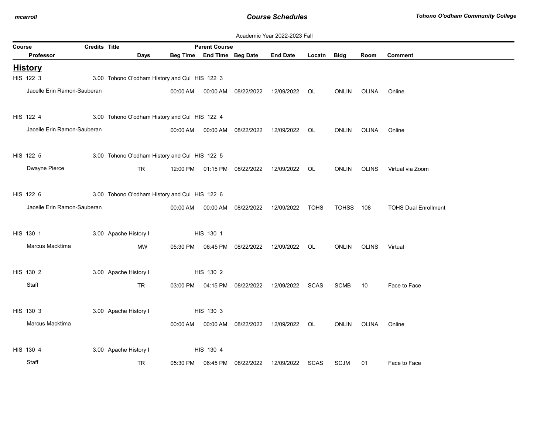|        | Academic Year 2022-2023 Fall |                      |                                               |          |                            |                                  |                 |             |              |              |                             |  |
|--------|------------------------------|----------------------|-----------------------------------------------|----------|----------------------------|----------------------------------|-----------------|-------------|--------------|--------------|-----------------------------|--|
| Course |                              | <b>Credits Title</b> |                                               |          | <b>Parent Course</b>       |                                  |                 |             |              |              |                             |  |
|        | <b>Professor</b>             |                      | <b>Days</b>                                   |          | Beg Time End Time Beg Date |                                  | <b>End Date</b> | Locatn      | <b>Bldg</b>  | Room         | <b>Comment</b>              |  |
|        | <b>History</b>               |                      |                                               |          |                            |                                  |                 |             |              |              |                             |  |
|        | HIS 122 3                    |                      | 3.00 Tohono O'odham History and Cul HIS 122 3 |          |                            |                                  |                 |             |              |              |                             |  |
|        | Jacelle Erin Ramon-Sauberan  |                      |                                               | 00:00 AM | 00:00 AM                   | 08/22/2022                       | 12/09/2022      | OL          | <b>ONLIN</b> | <b>OLINA</b> | Online                      |  |
|        |                              |                      |                                               |          |                            |                                  |                 |             |              |              |                             |  |
|        | HIS 122 4                    |                      | 3.00 Tohono O'odham History and Cul HIS 122 4 |          |                            |                                  |                 |             |              |              |                             |  |
|        | Jacelle Erin Ramon-Sauberan  |                      |                                               | 00:00 AM | 00:00 AM                   | 08/22/2022                       | 12/09/2022      | OL          | <b>ONLIN</b> | OLINA        | Online                      |  |
|        |                              |                      |                                               |          |                            |                                  |                 |             |              |              |                             |  |
|        | HIS 122 5                    |                      | 3.00 Tohono O'odham History and Cul HIS 122 5 |          |                            |                                  |                 |             |              |              |                             |  |
|        | Dwayne Pierce                |                      | <b>TR</b>                                     |          |                            | 12:00 PM  01:15 PM  08/22/2022   | 12/09/2022      | OL          | <b>ONLIN</b> | <b>OLINS</b> | Virtual via Zoom            |  |
|        |                              |                      |                                               |          |                            |                                  |                 |             |              |              |                             |  |
|        |                              |                      |                                               |          |                            |                                  |                 |             |              |              |                             |  |
|        | HIS 122 6                    |                      | 3.00 Tohono O'odham History and Cul HIS 122 6 |          |                            |                                  |                 |             |              |              |                             |  |
|        | Jacelle Erin Ramon-Sauberan  |                      |                                               | 00:00 AM | 00:00 AM                   | 08/22/2022                       | 12/09/2022      | TOHS        | TOHSS 108    |              | <b>TOHS Dual Enrollment</b> |  |
|        |                              |                      |                                               |          |                            |                                  |                 |             |              |              |                             |  |
|        | HIS 130 1                    |                      | 3.00 Apache History I                         |          | HIS 130 1                  |                                  |                 |             |              |              |                             |  |
|        | Marcus Macktima              |                      | MW                                            | 05:30 PM |                            | 06:45 PM 08/22/2022              | 12/09/2022      | OL          | <b>ONLIN</b> | <b>OLINS</b> | Virtual                     |  |
|        |                              |                      |                                               |          |                            |                                  |                 |             |              |              |                             |  |
|        | HIS 130 2                    |                      | 3.00 Apache History I                         |          | HIS 130 2                  |                                  |                 |             |              |              |                             |  |
|        | Staff                        |                      | TR                                            |          |                            | 03:00 PM   04:15 PM   08/22/2022 | 12/09/2022      | <b>SCAS</b> | <b>SCMB</b>  | 10           | Face to Face                |  |
|        |                              |                      |                                               |          |                            |                                  |                 |             |              |              |                             |  |
|        | HIS 130 3                    |                      | 3.00 Apache History I                         |          | HIS 130 3                  |                                  |                 |             |              |              |                             |  |
|        | Marcus Macktima              |                      |                                               | 00:00 AM | 00:00 AM                   | 08/22/2022                       | 12/09/2022      | OL.         | <b>ONLIN</b> | OLINA        | Online                      |  |
|        |                              |                      |                                               |          |                            |                                  |                 |             |              |              |                             |  |
|        | HIS 130 4                    |                      | 3.00 Apache History I                         |          | HIS 130 4                  |                                  |                 |             |              |              |                             |  |
|        |                              |                      |                                               |          |                            |                                  |                 |             |              |              |                             |  |
|        | Staff                        |                      | <b>TR</b>                                     | 05:30 PM | 06:45 PM                   | 08/22/2022                       | 12/09/2022      | <b>SCAS</b> | <b>SCJM</b>  | 01           | Face to Face                |  |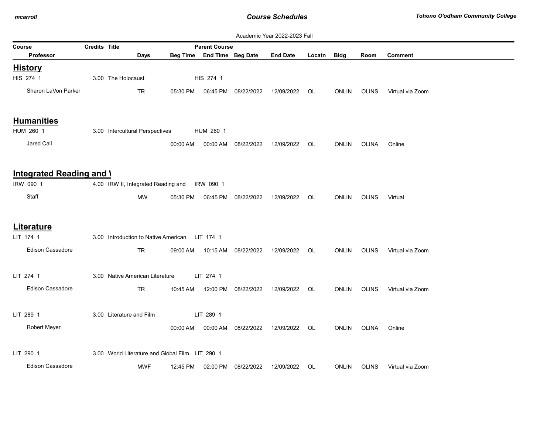| Academic Year 2022-2023 Fall    |               |                                                 |          |                            |                     |                 |        |              |              |                  |
|---------------------------------|---------------|-------------------------------------------------|----------|----------------------------|---------------------|-----------------|--------|--------------|--------------|------------------|
| Course                          | Credits Title |                                                 |          | <b>Parent Course</b>       |                     |                 |        |              |              |                  |
| Professor                       |               | Days                                            |          | Beg Time End Time Beg Date |                     | <b>End Date</b> | Locatn | <b>Bldg</b>  | Room         | <b>Comment</b>   |
| <b>History</b>                  |               |                                                 |          |                            |                     |                 |        |              |              |                  |
| HIS 274 1                       |               | 3.00 The Holocaust                              |          | HIS 274 1                  |                     |                 |        |              |              |                  |
| Sharon LaVon Parker             |               | <b>TR</b>                                       | 05:30 PM |                            | 06:45 PM 08/22/2022 | 12/09/2022      | OL     | <b>ONLIN</b> | <b>OLINS</b> | Virtual via Zoom |
| <b>Humanities</b>               |               |                                                 |          |                            |                     |                 |        |              |              |                  |
| HUM 260 1                       |               | 3.00 Intercultural Perspectives                 |          | HUM 260 1                  |                     |                 |        |              |              |                  |
| Jared Call                      |               |                                                 | 00:00 AM | 00:00 AM                   | 08/22/2022          | 12/09/2022      | OL.    | <b>ONLIN</b> | <b>OLINA</b> | Online           |
| <b>Integrated Reading and \</b> |               |                                                 |          |                            |                     |                 |        |              |              |                  |
| IRW 090 1                       |               | 4.00 IRW II, Integrated Reading and             |          | IRW 090 1                  |                     |                 |        |              |              |                  |
| Staff                           |               | <b>MW</b>                                       | 05:30 PM |                            | 06:45 PM 08/22/2022 | 12/09/2022      | OL     | <b>ONLIN</b> | <b>OLINS</b> | Virtual          |
| <b>Literature</b>               |               |                                                 |          |                            |                     |                 |        |              |              |                  |
| LIT 174 1                       |               | 3.00 Introduction to Native American LIT 174 1  |          |                            |                     |                 |        |              |              |                  |
| <b>Edison Cassadore</b>         |               | <b>TR</b>                                       | 09:00 AM | 10:15 AM                   | 08/22/2022          | 12/09/2022      | OL.    | <b>ONLIN</b> | OLINS        | Virtual via Zoom |
| LIT 274 1                       |               | 3.00 Native American Literature                 |          | LIT 274 1                  |                     |                 |        |              |              |                  |
| Edison Cassadore                |               | TR                                              | 10:45 AM |                            | 12:00 PM 08/22/2022 | 12/09/2022      | OL     | <b>ONLIN</b> | <b>OLINS</b> | Virtual via Zoom |
| LIT 289 1                       |               | 3.00 Literature and Film                        |          | LIT 289 1                  |                     |                 |        |              |              |                  |
| Robert Meyer                    |               |                                                 | 00:00 AM | 00:00 AM                   | 08/22/2022          | 12/09/2022      | OL.    | <b>ONLIN</b> | <b>OLINA</b> | Online           |
| LIT 290 1                       |               | 3.00 World Literature and Global Film LIT 290 1 |          |                            |                     |                 |        |              |              |                  |
| <b>Edison Cassadore</b>         |               | <b>MWF</b>                                      | 12:45 PM | 02:00 PM                   | 08/22/2022          | 12/09/2022      | OL     | <b>ONLIN</b> | <b>OLINS</b> | Virtual via Zoom |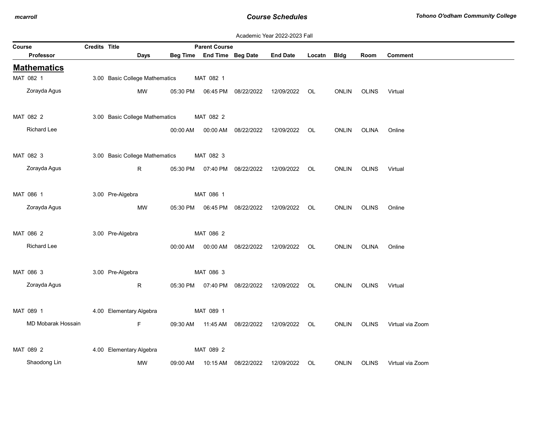|  | Academic Year 2022-2023 Fall |  |
|--|------------------------------|--|
|  |                              |  |

| Course |                    | Credits Title |                                | <b>Parent Course</b> |                            |                      |                                                |             |              |              |                  |
|--------|--------------------|---------------|--------------------------------|----------------------|----------------------------|----------------------|------------------------------------------------|-------------|--------------|--------------|------------------|
|        | Professor          |               | <b>Days</b>                    |                      | Beg Time End Time Beg Date |                      | <b>End Date</b>                                | Locatn Bldg |              | Room         | <b>Comment</b>   |
|        | <b>Mathematics</b> |               |                                |                      |                            |                      |                                                |             |              |              |                  |
|        | MAT 082 1          |               | 3.00 Basic College Mathematics |                      | MAT 082 1                  |                      |                                                |             |              |              |                  |
|        | Zorayda Agus       |               | MW                             | 05:30 PM             |                            | 06:45 PM 08/22/2022  | 12/09/2022                                     | OL          | ONLIN        | <b>OLINS</b> | Virtual          |
|        | MAT 082 2          |               | 3.00 Basic College Mathematics |                      | MAT 082 2                  |                      |                                                |             |              |              |                  |
|        | Richard Lee        |               |                                | 00:00 AM             |                            | 00:00 AM 08/22/2022  | 12/09/2022 OL                                  |             | <b>ONLIN</b> | OLINA        | Online           |
|        | MAT 082 3          |               | 3.00 Basic College Mathematics |                      | MAT 082 3                  |                      |                                                |             |              |              |                  |
|        | Zorayda Agus       |               | R.                             |                      |                            |                      | 05:30 PM  07:40 PM  08/22/2022  12/09/2022  OL |             | ONLIN        | OLINS        | Virtual          |
|        | MAT 086 1          |               | 3.00 Pre-Algebra               |                      | MAT 086 1                  |                      |                                                |             |              |              |                  |
|        | Zorayda Agus       |               | <b>MW</b>                      | 05:30 PM             |                            | 06:45 PM 08/22/2022  | 12/09/2022                                     | OL          | <b>ONLIN</b> | OLINS        | Online           |
|        | MAT 086 2          |               | 3.00 Pre-Algebra               |                      | MAT 086 2                  |                      |                                                |             |              |              |                  |
|        | Richard Lee        |               |                                | 00:00 AM             |                            | 00:00 AM 08/22/2022  | 12/09/2022                                     | OL          | <b>ONLIN</b> | OLINA        | Online           |
|        | MAT 086 3          |               | 3.00 Pre-Algebra               |                      | MAT 086 3                  |                      |                                                |             |              |              |                  |
|        | Zorayda Agus       |               | R                              | 05:30 PM             |                            | 07:40 PM 08/22/2022  | 12/09/2022 OL                                  |             | <b>ONLIN</b> | OLINS        | Virtual          |
|        | MAT 089 1          |               | 4.00 Elementary Algebra        |                      | MAT 089 1                  |                      |                                                |             |              |              |                  |
|        | MD Mobarak Hossain |               | F.                             | 09:30 AM             |                            | 11:45 AM  08/22/2022 | 12/09/2022 OL                                  |             | <b>ONLIN</b> | <b>OLINS</b> | Virtual via Zoom |
|        | MAT 089 2          |               | 4.00 Elementary Algebra        |                      | MAT 089 2                  |                      |                                                |             |              |              |                  |
|        | Shaodong Lin       |               | МW                             | 09:00 AM             | 10:15 AM                   | 08/22/2022           | 12/09/2022                                     | OL          | <b>ONLIN</b> | <b>OLINS</b> | Virtual via Zoom |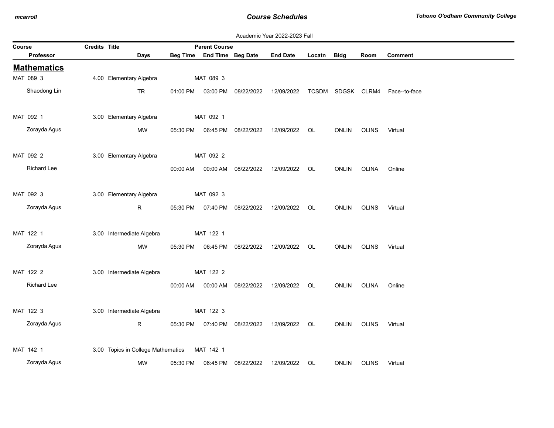| Course |                    | Credits Title |                                              | <b>Parent Course</b> |                            |                                |                                                |        |              |              |                                 |
|--------|--------------------|---------------|----------------------------------------------|----------------------|----------------------------|--------------------------------|------------------------------------------------|--------|--------------|--------------|---------------------------------|
|        | Professor          |               | Days                                         |                      | Beg Time End Time Beg Date |                                | <b>End Date</b>                                | Locatn | <b>Bldg</b>  | Room         | Comment                         |
|        | <b>Mathematics</b> |               |                                              |                      |                            |                                |                                                |        |              |              |                                 |
|        | MAT 089 3          |               | 4.00 Elementary Algebra                      |                      | MAT 089 3                  |                                |                                                |        |              |              |                                 |
|        | Shaodong Lin       |               | TR                                           | 01:00 PM             |                            | 03:00 PM 08/22/2022 12/09/2022 |                                                |        |              |              | TCSDM SDGSK CLRM4 Face--to-face |
|        | MAT 092 1          |               | 3.00 Elementary Algebra                      |                      | MAT 092 1                  |                                |                                                |        |              |              |                                 |
|        | Zorayda Agus       |               | <b>MW</b>                                    | 05:30 PM             |                            | 06:45 PM 08/22/2022            | 12/09/2022 OL                                  |        | <b>ONLIN</b> | <b>OLINS</b> | Virtual                         |
|        | MAT 092 2          |               | 3.00 Elementary Algebra                      |                      | MAT 092 2                  |                                |                                                |        |              |              |                                 |
|        | Richard Lee        |               |                                              |                      |                            |                                | 00:00 AM  00:00 AM  08/22/2022  12/09/2022  OL |        |              | ONLIN OLINA  | Online                          |
|        | MAT 092 3          |               | 3.00 Elementary Algebra                      |                      | MAT 092 3                  |                                |                                                |        |              |              |                                 |
|        | Zorayda Agus       |               | R                                            | 05:30 PM             |                            | 07:40 PM 08/22/2022            | 12/09/2022 OL                                  |        | <b>ONLIN</b> | <b>OLINS</b> | Virtual                         |
|        | MAT 122 1          |               | 3.00 Intermediate Algebra                    |                      | MAT 122 1                  |                                |                                                |        |              |              |                                 |
|        | Zorayda Agus       |               | MW                                           | 05:30 PM             |                            | 06:45 PM 08/22/2022            | 12/09/2022 OL                                  |        | <b>ONLIN</b> | <b>OLINS</b> | Virtual                         |
|        | MAT 122 2          |               | 3.00 Intermediate Algebra                    |                      | MAT 122 2                  |                                |                                                |        |              |              |                                 |
|        | <b>Richard Lee</b> |               |                                              | 00:00 AM             | 00:00 AM                   | 08/22/2022                     | 12/09/2022 OL                                  |        | <b>ONLIN</b> | OLINA        | Online                          |
|        | MAT 122 3          |               | 3.00 Intermediate Algebra                    |                      | MAT 122 3                  |                                |                                                |        |              |              |                                 |
|        | Zorayda Agus       |               | $\mathsf{R}$                                 |                      |                            |                                | 05:30 PM  07:40 PM  08/22/2022  12/09/2022  OL |        | ONLIN        | OLINS        | Virtual                         |
|        | MAT 142 1          |               | 3.00 Topics in College Mathematics MAT 142 1 |                      |                            |                                |                                                |        |              |              |                                 |
|        | Zorayda Agus       |               | <b>MW</b>                                    | 05:30 PM             | 06:45 PM                   | 08/22/2022                     | 12/09/2022                                     | OL     | <b>ONLIN</b> | <b>OLINS</b> | Virtual                         |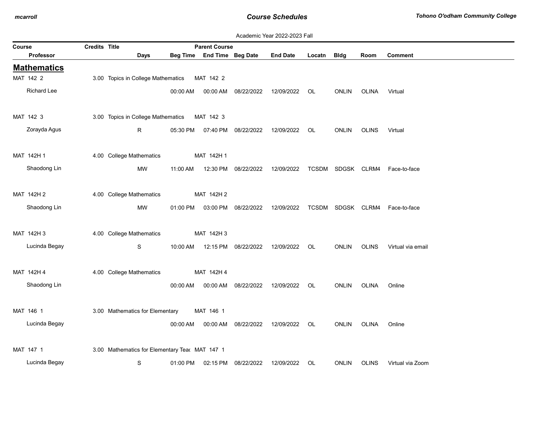|        |                    |                      |                                                |          |                      |                     | Academic Year 2022-2023 Fall |        |                   |              |                                |
|--------|--------------------|----------------------|------------------------------------------------|----------|----------------------|---------------------|------------------------------|--------|-------------------|--------------|--------------------------------|
| Course |                    | <b>Credits Title</b> |                                                |          | <b>Parent Course</b> |                     |                              |        |                   |              |                                |
|        | Professor          |                      | Days                                           | Beg Time | End Time Beg Date    |                     | <b>End Date</b>              | Locatn | <b>Bldg</b>       | Room         | <b>Comment</b>                 |
|        | <b>Mathematics</b> |                      |                                                |          |                      |                     |                              |        |                   |              |                                |
|        | MAT 142 2          |                      | 3.00 Topics in College Mathematics             |          | MAT 142 2            |                     |                              |        |                   |              |                                |
|        | Richard Lee        |                      |                                                | 00:00 AM | 00:00 AM             | 08/22/2022          | 12/09/2022                   | OL     | <b>ONLIN</b>      | <b>OLINA</b> | Virtual                        |
|        | MAT 142 3          |                      | 3.00 Topics in College Mathematics             |          | MAT 142 3            |                     |                              |        |                   |              |                                |
|        | Zorayda Agus       |                      | R                                              | 05:30 PM |                      | 07:40 PM 08/22/2022 | 12/09/2022                   | OL     | <b>ONLIN</b>      | <b>OLINS</b> | Virtual                        |
|        |                    |                      |                                                |          |                      |                     |                              |        |                   |              |                                |
|        | MAT 142H 1         |                      | 4.00 College Mathematics                       |          | MAT 142H 1           |                     |                              |        |                   |              |                                |
|        | Shaodong Lin       |                      | MW                                             | 11:00 AM | 12:30 PM             | 08/22/2022          | 12/09/2022                   |        | TCSDM SDGSK CLRM4 |              | Face-to-face                   |
|        | MAT 142H 2         |                      |                                                |          | MAT 142H 2           |                     |                              |        |                   |              |                                |
|        |                    |                      | 4.00 College Mathematics                       |          |                      |                     |                              |        |                   |              |                                |
|        | Shaodong Lin       |                      | MW                                             | 01:00 PM |                      | 03:00 PM 08/22/2022 | 12/09/2022                   |        |                   |              | TCSDM SDGSK CLRM4 Face-to-face |
|        | MAT 142H 3         |                      | 4.00 College Mathematics                       |          | MAT 142H 3           |                     |                              |        |                   |              |                                |
|        | Lucinda Begay      |                      | S                                              | 10:00 AM |                      | 12:15 PM 08/22/2022 | 12/09/2022                   | OL     | <b>ONLIN</b>      | <b>OLINS</b> | Virtual via email              |
|        |                    |                      |                                                |          |                      |                     |                              |        |                   |              |                                |
|        | MAT 142H 4         |                      | 4.00 College Mathematics                       |          | MAT 142H 4           |                     |                              |        |                   |              |                                |
|        | Shaodong Lin       |                      |                                                | 00:00 AM | 00:00 AM             | 08/22/2022          | 12/09/2022                   | OL     | <b>ONLIN</b>      | <b>OLINA</b> | Online                         |
|        |                    |                      |                                                |          |                      |                     |                              |        |                   |              |                                |
|        | MAT 146 1          |                      | 3.00 Mathematics for Elementary                |          | MAT 146 1            |                     |                              |        |                   |              |                                |
|        | Lucinda Begay      |                      |                                                | 00:00 AM |                      | 00:00 AM 08/22/2022 | 12/09/2022                   | OL     | ONLIN             | OLINA        | Online                         |
|        |                    |                      |                                                |          |                      |                     |                              |        |                   |              |                                |
|        | MAT 147 1          |                      | 3.00 Mathematics for Elementary Tear MAT 147 1 |          |                      |                     |                              |        |                   |              |                                |
|        | Lucinda Begay      |                      | S                                              | 01:00 PM | 02:15 PM             | 08/22/2022          | 12/09/2022                   | OL     | <b>ONLIN</b>      | <b>OLINS</b> | Virtual via Zoom               |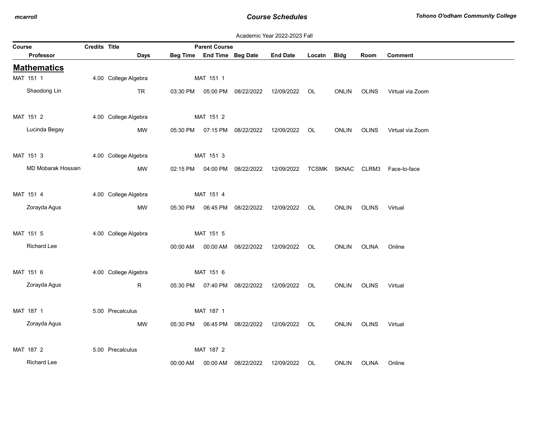|        |                    |               |                      |          |                            |                                  | Academic Year 2022-2023 Fall |        |              |              |                                |
|--------|--------------------|---------------|----------------------|----------|----------------------------|----------------------------------|------------------------------|--------|--------------|--------------|--------------------------------|
| Course |                    | Credits Title |                      |          | <b>Parent Course</b>       |                                  |                              |        |              |              |                                |
|        | Professor          |               | <b>Days</b>          |          | Beg Time End Time Beg Date |                                  | <b>End Date</b>              | Locatn | <b>Bldg</b>  | Room         | <b>Comment</b>                 |
|        | <b>Mathematics</b> |               |                      |          |                            |                                  |                              |        |              |              |                                |
|        | MAT 151 1          |               | 4.00 College Algebra |          | MAT 151 1                  |                                  |                              |        |              |              |                                |
|        | Shaodong Lin       |               | <b>TR</b>            | 03:30 PM |                            | 05:00 PM 08/22/2022              | 12/09/2022                   | OL     | ONLIN        | OLINS        | Virtual via Zoom               |
|        | MAT 151 2          |               | 4.00 College Algebra |          | MAT 151 2                  |                                  |                              |        |              |              |                                |
|        | Lucinda Begay      |               | MW                   | 05:30 PM |                            | 07:15 PM 08/22/2022              | 12/09/2022                   | OL     | <b>ONLIN</b> | <b>OLINS</b> | Virtual via Zoom               |
|        | MAT 151 3          |               | 4.00 College Algebra |          | MAT 151 3                  |                                  |                              |        |              |              |                                |
|        | MD Mobarak Hossain |               | MW                   |          |                            | 02:15 PM   04:00 PM   08/22/2022 | 12/09/2022                   |        |              |              | TCSMK SKNAC CLRM3 Face-to-face |
|        | MAT 151 4          |               | 4.00 College Algebra |          | MAT 151 4                  |                                  |                              |        |              |              |                                |
|        | Zorayda Agus       |               | MW                   | 05:30 PM |                            | 06:45 PM 08/22/2022              | 12/09/2022                   | OL     | <b>ONLIN</b> | <b>OLINS</b> | Virtual                        |
|        | MAT 151 5          |               | 4.00 College Algebra |          | MAT 151 5                  |                                  |                              |        |              |              |                                |
|        | <b>Richard Lee</b> |               |                      | 00:00 AM | 00:00 AM                   | 08/22/2022                       | 12/09/2022                   | OL     | <b>ONLIN</b> | <b>OLINA</b> | Online                         |
|        | MAT 151 6          |               | 4.00 College Algebra |          | MAT 151 6                  |                                  |                              |        |              |              |                                |
|        | Zorayda Agus       |               | R                    |          |                            | 05:30 PM  07:40 PM  08/22/2022   | 12/09/2022                   | OL.    | <b>ONLIN</b> | <b>OLINS</b> | Virtual                        |
|        | MAT 187 1          |               | 5.00 Precalculus     |          | MAT 187 1                  |                                  |                              |        |              |              |                                |
|        | Zorayda Agus       |               | MW                   | 05:30 PM |                            | 06:45 PM 08/22/2022              | 12/09/2022 OL                |        | <b>ONLIN</b> | <b>OLINS</b> | Virtual                        |
|        | MAT 187 2          |               | 5.00 Precalculus     |          | MAT 187 2                  |                                  |                              |        |              |              |                                |
|        | <b>Richard Lee</b> |               |                      | 00:00 AM | 00:00 AM                   | 08/22/2022                       | 12/09/2022                   | OL     | <b>ONLIN</b> | <b>OLINA</b> | Online                         |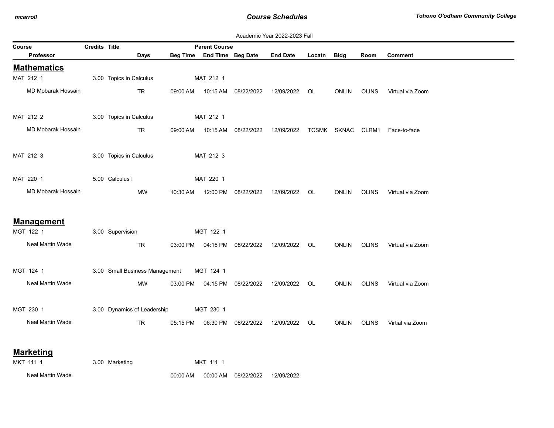|        |                    |                      |                                |          |                            |                                                | Academic Year 2022-2023 Fall |        |              |              |                    |
|--------|--------------------|----------------------|--------------------------------|----------|----------------------------|------------------------------------------------|------------------------------|--------|--------------|--------------|--------------------|
| Course |                    | <b>Credits Title</b> |                                |          | <b>Parent Course</b>       |                                                |                              |        |              |              |                    |
|        | Professor          |                      | Days                           |          | Beg Time End Time Beg Date |                                                | <b>End Date</b>              | Locatn | Bldg         | Room         | <b>Comment</b>     |
|        | <b>Mathematics</b> |                      |                                |          |                            |                                                |                              |        |              |              |                    |
|        | MAT 212 1          |                      | 3.00 Topics in Calculus        |          | MAT 212 1                  |                                                |                              |        |              |              |                    |
|        | MD Mobarak Hossain |                      | <b>TR</b>                      |          | 09:00 AM  10:15 AM         | 08/22/2022                                     | 12/09/2022                   | OL     | <b>ONLIN</b> | <b>OLINS</b> | Virtual via Zoom   |
|        | MAT 212 2          |                      | 3.00 Topics in Calculus        |          | MAT 212 1                  |                                                |                              |        |              |              |                    |
|        | MD Mobarak Hossain |                      | TR                             | 09:00 AM | 10:15 AM                   | 08/22/2022                                     | 12/09/2022                   |        | TCSMK SKNAC  |              | CLRM1 Face-to-face |
|        | MAT 212 3          |                      | 3.00 Topics in Calculus        |          | MAT 212 3                  |                                                |                              |        |              |              |                    |
|        | MAT 220 1          |                      | 5.00 Calculus I                |          | MAT 220 1                  |                                                |                              |        |              |              |                    |
|        | MD Mobarak Hossain |                      | MW                             | 10:30 AM |                            | 12:00 PM 08/22/2022                            | 12/09/2022                   | OL     | <b>ONLIN</b> | <b>OLINS</b> | Virtual via Zoom   |
|        | <b>Management</b>  |                      |                                |          |                            |                                                |                              |        |              |              |                    |
|        | MGT 122 1          |                      | 3.00 Supervision               |          | MGT 122 1                  |                                                |                              |        |              |              |                    |
|        | Neal Martin Wade   |                      | TR                             |          |                            | 03:00 PM  04:15 PM  08/22/2022  12/09/2022  OL |                              |        | ONLIN        | <b>OLINS</b> | Virtual via Zoom   |
|        | MGT 124 1          |                      | 3.00 Small Business Management |          | MGT 124 1                  |                                                |                              |        |              |              |                    |
|        | Neal Martin Wade   |                      | МW                             |          |                            | 03:00 PM  04:15 PM  08/22/2022                 | 12/09/2022                   | OL.    | <b>ONLIN</b> | <b>OLINS</b> | Virtual via Zoom   |
|        | MGT 230 1          |                      | 3.00 Dynamics of Leadership    |          | MGT 230 1                  |                                                |                              |        |              |              |                    |
|        | Neal Martin Wade   |                      | <b>TR</b>                      | 05:15 PM |                            | 06:30 PM 08/22/2022                            | 12/09/2022 OL                |        | <b>ONLIN</b> | <b>OLINS</b> | Virtial via Zoom   |
|        | <b>Marketing</b>   |                      |                                |          |                            |                                                |                              |        |              |              |                    |
|        | MKT 111 1          |                      | 3.00 Marketing                 |          | MKT 111 1                  |                                                |                              |        |              |              |                    |
|        | Neal Martin Wade   |                      |                                | 00:00 AM | 00:00 AM                   | 08/22/2022                                     | 12/09/2022                   |        |              |              |                    |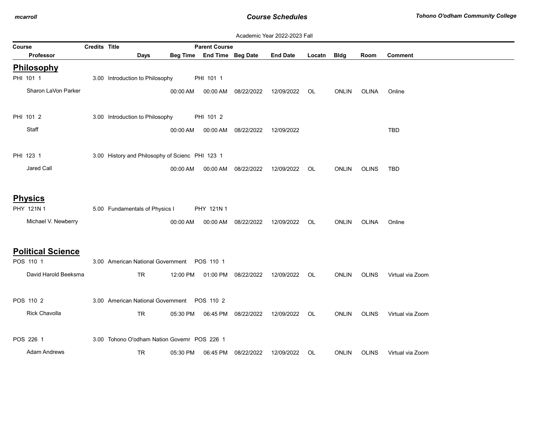|        | Academic Year 2022-2023 Fall |               |                                                 |          |                            |                     |                 |        |              |              |                  |  |
|--------|------------------------------|---------------|-------------------------------------------------|----------|----------------------------|---------------------|-----------------|--------|--------------|--------------|------------------|--|
| Course |                              | Credits Title |                                                 |          | <b>Parent Course</b>       |                     |                 |        |              |              |                  |  |
|        | <b>Professor</b>             |               | Days                                            |          | Beg Time End Time Beg Date |                     | <b>End Date</b> | Locatn | <b>Bldg</b>  | Room         | Comment          |  |
|        | Philosophy                   |               |                                                 |          |                            |                     |                 |        |              |              |                  |  |
|        | PHI 101 1                    |               | 3.00 Introduction to Philosophy                 |          | PHI 101 1                  |                     |                 |        |              |              |                  |  |
|        | Sharon LaVon Parker          |               |                                                 | 00:00 AM |                            | 00:00 AM 08/22/2022 | 12/09/2022      | OL     | <b>ONLIN</b> | OLINA        | Online           |  |
|        |                              |               |                                                 |          |                            |                     |                 |        |              |              |                  |  |
|        | PHI 101 2                    |               | 3.00 Introduction to Philosophy                 |          | PHI 101 2                  |                     |                 |        |              |              |                  |  |
|        | Staff                        |               |                                                 | 00:00 AM | 00:00 AM                   | 08/22/2022          | 12/09/2022      |        |              |              | <b>TBD</b>       |  |
|        |                              |               |                                                 |          |                            |                     |                 |        |              |              |                  |  |
|        | PHI 123 1                    |               | 3.00 History and Philosophy of Scienc PHI 123 1 |          |                            |                     |                 |        |              |              |                  |  |
|        |                              |               |                                                 |          |                            |                     |                 |        |              |              |                  |  |
|        | Jared Call                   |               |                                                 | 00:00 AM | 00:00 AM                   | 08/22/2022          | 12/09/2022      | OL     | <b>ONLIN</b> | <b>OLINS</b> | TBD              |  |
|        |                              |               |                                                 |          |                            |                     |                 |        |              |              |                  |  |
|        | <b>Physics</b>               |               |                                                 |          |                            |                     |                 |        |              |              |                  |  |
|        | PHY 121N 1                   |               | 5.00 Fundamentals of Physics I                  |          | PHY 121N 1                 |                     |                 |        |              |              |                  |  |
|        | Michael V. Newberry          |               |                                                 | 00:00 AM |                            | 00:00 AM 08/22/2022 | 12/09/2022      | OL.    | <b>ONLIN</b> | <b>OLINA</b> | Online           |  |
|        |                              |               |                                                 |          |                            |                     |                 |        |              |              |                  |  |
|        |                              |               |                                                 |          |                            |                     |                 |        |              |              |                  |  |
|        | <b>Political Science</b>     |               |                                                 |          |                            |                     |                 |        |              |              |                  |  |
|        | POS 110 1                    |               | 3.00 American National Government  POS 110 1    |          |                            |                     |                 |        |              |              |                  |  |
|        | David Harold Beeksma         |               | <b>TR</b>                                       | 12:00 PM |                            | 01:00 PM 08/22/2022 | 12/09/2022      | OL     | <b>ONLIN</b> | <b>OLINS</b> | Virtual via Zoom |  |
|        |                              |               |                                                 |          |                            |                     |                 |        |              |              |                  |  |
|        | POS 110 2                    |               | 3.00 American National Government  POS 110 2    |          |                            |                     |                 |        |              |              |                  |  |
|        | Rick Chavolla                |               | TR                                              | 05:30 PM |                            | 06:45 PM 08/22/2022 | 12/09/2022      | OL     | <b>ONLIN</b> | <b>OLINS</b> | Virtual via Zoom |  |
|        |                              |               |                                                 |          |                            |                     |                 |        |              |              |                  |  |
|        | POS 226 1                    |               | 3.00 Tohono O'odham Nation Governr POS 226 1    |          |                            |                     |                 |        |              |              |                  |  |
|        | <b>Adam Andrews</b>          |               | TR.                                             | 05:30 PM |                            | 06:45 PM 08/22/2022 | 12/09/2022      | OL.    | <b>ONLIN</b> | <b>OLINS</b> | Virtual via Zoom |  |
|        |                              |               |                                                 |          |                            |                     |                 |        |              |              |                  |  |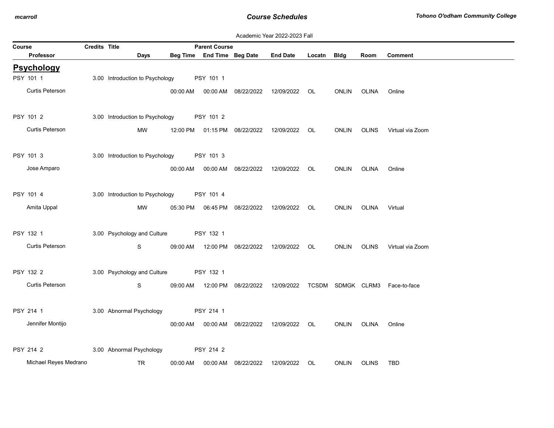|        | Academic Year 2022-2023 Fall |               |                                 |          |                            |                                            |                 |             |              |              |                                |
|--------|------------------------------|---------------|---------------------------------|----------|----------------------------|--------------------------------------------|-----------------|-------------|--------------|--------------|--------------------------------|
| Course |                              | Credits Title |                                 |          | <b>Parent Course</b>       |                                            |                 |             |              |              |                                |
|        | <b>Professor</b>             |               | Days                            |          | Beg Time End Time Beg Date |                                            | <b>End Date</b> | Locatn Bldg |              | Room         | <b>Comment</b>                 |
|        | <b>Psychology</b>            |               |                                 |          |                            |                                            |                 |             |              |              |                                |
|        | PSY 101 1                    |               | 3.00 Introduction to Psychology |          | PSY 101 1                  |                                            |                 |             |              |              |                                |
|        | Curtis Peterson              |               |                                 | 00:00 AM |                            | 00:00 AM 08/22/2022                        | 12/09/2022 OL   |             | ONLIN        | OLINA        | Online                         |
|        | PSY 101 2                    |               | 3.00 Introduction to Psychology |          | PSY 101 2                  |                                            |                 |             |              |              |                                |
|        | Curtis Peterson              |               | MW                              | 12:00 PM |                            | 01:15 PM  08/22/2022  12/09/2022           |                 | OL.         | ONLIN        | <b>OLINS</b> | Virtual via Zoom               |
|        | PSY 101 3                    |               | 3.00 Introduction to Psychology |          | PSY 101 3                  |                                            |                 |             |              |              |                                |
|        | Jose Amparo                  |               |                                 |          |                            | 00:00 AM   00:00 AM   08/22/2022           | 12/09/2022 OL   |             | ONLIN        | OLINA        | Online                         |
|        | PSY 101 4                    |               | 3.00 Introduction to Psychology |          | PSY 101 4                  |                                            |                 |             |              |              |                                |
|        | Amita Uppal                  |               | MW                              |          |                            | 05:30 PM  06:45 PM  08/22/2022  12/09/2022 |                 | OL OL       | ONLIN        | OLINA        | Virtual                        |
|        |                              |               |                                 |          |                            |                                            |                 |             |              |              |                                |
|        | PSY 132 1                    |               | 3.00 Psychology and Culture     |          | PSY 132 1                  |                                            |                 |             |              |              |                                |
|        | Curtis Peterson              |               | S                               | 09:00 AM |                            | 12:00 PM 08/22/2022 12/09/2022             |                 | OL          | ONLIN        | <b>OLINS</b> | Virtual via Zoom               |
|        | PSY 132 2                    |               | 3.00 Psychology and Culture     |          | PSY 132 1                  |                                            |                 |             |              |              |                                |
|        | Curtis Peterson              |               | S                               |          |                            | 09:00 AM  12:00 PM  08/22/2022  12/09/2022 |                 |             |              |              | TCSDM SDMGK CLRM3 Face-to-face |
|        |                              |               |                                 |          |                            |                                            |                 |             |              |              |                                |
|        | PSY 214 1                    |               | 3.00 Abnormal Psychology        |          | PSY 214 1                  |                                            |                 |             |              |              |                                |
|        | Jennifer Montijo             |               |                                 | 00:00 AM |                            | 00:00 AM 08/22/2022                        | 12/09/2022      | OL.         | <b>ONLIN</b> | OLINA        | Online                         |
|        |                              |               |                                 |          |                            |                                            |                 |             |              |              |                                |
|        | PSY 214 2                    |               | 3.00 Abnormal Psychology        |          | PSY 214 2                  |                                            |                 |             |              |              |                                |
|        | Michael Reyes Medrano        |               | TR                              | 00:00 AM |                            | 00:00 AM 08/22/2022                        | 12/09/2022      | OL          | <b>ONLIN</b> | <b>OLINS</b> | <b>TBD</b>                     |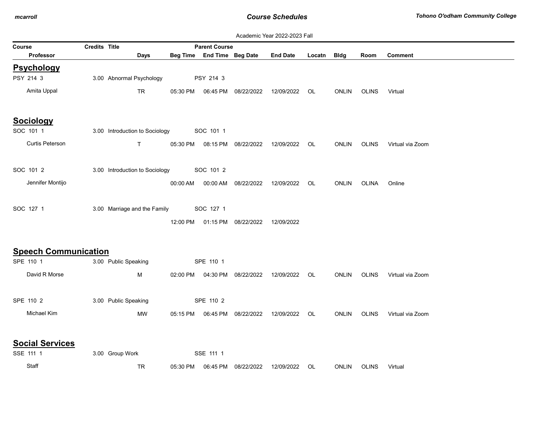|                             |               |                                |          |                            |                                | Academic Year 2022-2023 Fall |        |              |              |                  |
|-----------------------------|---------------|--------------------------------|----------|----------------------------|--------------------------------|------------------------------|--------|--------------|--------------|------------------|
| Course                      | Credits Title |                                |          | <b>Parent Course</b>       |                                |                              |        |              |              |                  |
| Professor                   |               | Days                           |          | Beg Time End Time Beg Date |                                | <b>End Date</b>              | Locatn | <b>Bldg</b>  | Room         | <b>Comment</b>   |
| <b>Psychology</b>           |               |                                |          |                            |                                |                              |        |              |              |                  |
| PSY 214 3                   |               | 3.00 Abnormal Psychology       |          | PSY 214 3                  |                                |                              |        |              |              |                  |
| Amita Uppal                 |               | <b>TR</b>                      | 05:30 PM | 06:45 PM                   | 08/22/2022                     | 12/09/2022                   | OL     | <b>ONLIN</b> | <b>OLINS</b> | Virtual          |
| <b>Sociology</b>            |               |                                |          |                            |                                |                              |        |              |              |                  |
| SOC 101 1                   |               | 3.00 Introduction to Sociology |          | SOC 101 1                  |                                |                              |        |              |              |                  |
| Curtis Peterson             |               | T.                             | 05:30 PM | 08:15 PM                   | 08/22/2022                     | 12/09/2022                   | OL.    | <b>ONLIN</b> | <b>OLINS</b> | Virtual via Zoom |
| SOC 101 2                   |               | 3.00 Introduction to Sociology |          | SOC 101 2                  |                                |                              |        |              |              |                  |
| Jennifer Montijo            |               |                                | 00:00 AM |                            | 00:00 AM 08/22/2022            | 12/09/2022                   | OL.    | <b>ONLIN</b> | OLINA        | Online           |
| SOC 127 1                   |               | 3.00 Marriage and the Family   |          | SOC 127 1                  |                                |                              |        |              |              |                  |
|                             |               |                                |          |                            | 12:00 PM  01:15 PM  08/22/2022 | 12/09/2022                   |        |              |              |                  |
| <b>Speech Communication</b> |               |                                |          |                            |                                |                              |        |              |              |                  |
| SPE 110 1                   |               | 3.00 Public Speaking           |          | SPE 110 1                  |                                |                              |        |              |              |                  |
| David R Morse               |               | М                              |          |                            | 02:00 PM  04:30 PM  08/22/2022 | 12/09/2022                   | OL     | <b>ONLIN</b> | <b>OLINS</b> | Virtual via Zoom |
| SPE 110 2                   |               | 3.00 Public Speaking           |          | SPE 110 2                  |                                |                              |        |              |              |                  |
| Michael Kim                 |               | <b>MW</b>                      | 05:15 PM | 06:45 PM                   | 08/22/2022                     | 12/09/2022                   | OL     | <b>ONLIN</b> | <b>OLINS</b> | Virtual via Zoom |
| <b>Social Services</b>      |               |                                |          |                            |                                |                              |        |              |              |                  |
| SSE 111 1                   |               | 3.00 Group Work                |          | SSE 111 1                  |                                |                              |        |              |              |                  |
| Staff                       |               | TR                             | 05:30 PM | 06:45 PM                   | 08/22/2022                     | 12/09/2022                   | OL.    | <b>ONLIN</b> | <b>OLINS</b> | Virtual          |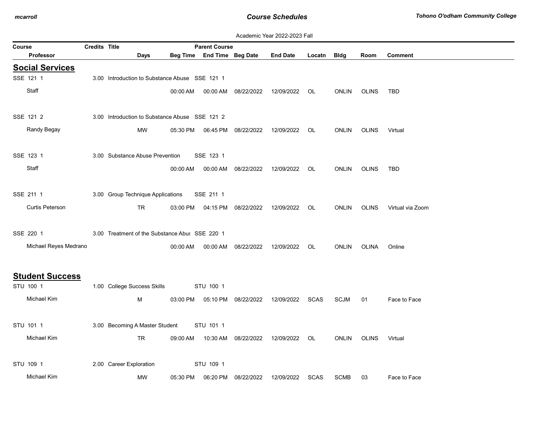|        |                                     |               |                                                |          |                            |                     | Academic Year 2022-2023 Fall |             |              |              |                  |
|--------|-------------------------------------|---------------|------------------------------------------------|----------|----------------------------|---------------------|------------------------------|-------------|--------------|--------------|------------------|
| Course |                                     | Credits Title |                                                |          | <b>Parent Course</b>       |                     |                              |             |              |              |                  |
|        | <b>Professor</b>                    |               | Days                                           |          | Beg Time End Time Beg Date |                     | <b>End Date</b>              | Locatn      | <b>Bldg</b>  | Room         | <b>Comment</b>   |
|        | <b>Social Services</b>              |               |                                                |          |                            |                     |                              |             |              |              |                  |
|        | SSE 121 1                           |               | 3.00 Introduction to Substance Abuse SSE 121 1 |          |                            |                     |                              |             |              |              |                  |
|        | Staff                               |               |                                                | 00:00 AM | 00:00 AM                   | 08/22/2022          | 12/09/2022                   | OL          | <b>ONLIN</b> | <b>OLINS</b> | <b>TBD</b>       |
|        |                                     |               |                                                |          |                            |                     |                              |             |              |              |                  |
|        | SSE 121 2                           |               | 3.00 Introduction to Substance Abuse SSE 121 2 |          |                            |                     |                              |             |              |              |                  |
|        | Randy Begay                         |               | MW                                             | 05:30 PM |                            | 06:45 PM 08/22/2022 | 12/09/2022                   | OL          | <b>ONLIN</b> | <b>OLINS</b> | Virtual          |
|        |                                     |               |                                                |          |                            |                     |                              |             |              |              |                  |
|        | SSE 123 1                           |               | 3.00 Substance Abuse Prevention                |          | SSE 123 1                  |                     |                              |             |              |              |                  |
|        | Staff                               |               |                                                | 00:00 AM | 00:00 AM                   | 08/22/2022          | 12/09/2022                   | OL          | <b>ONLIN</b> | <b>OLINS</b> | TBD              |
|        |                                     |               |                                                |          |                            |                     |                              |             |              |              |                  |
|        | SSE 211 1                           |               | 3.00 Group Technique Applications              |          | SSE 211 1                  |                     |                              |             |              |              |                  |
|        | Curtis Peterson                     |               | TR.                                            | 03:00 PM |                            | 04:15 PM 08/22/2022 | 12/09/2022                   | OL          | <b>ONLIN</b> | <b>OLINS</b> | Virtual via Zoom |
|        |                                     |               |                                                |          |                            |                     |                              |             |              |              |                  |
|        | SSE 220 1                           |               | 3.00 Treatment of the Substance Abus SSE 220 1 |          |                            |                     |                              |             |              |              |                  |
|        | Michael Reyes Medrano               |               |                                                | 00:00 AM | 00:00 AM                   | 08/22/2022          | 12/09/2022                   | OL.         | <b>ONLIN</b> | OLINA        | Online           |
|        |                                     |               |                                                |          |                            |                     |                              |             |              |              |                  |
|        |                                     |               |                                                |          |                            |                     |                              |             |              |              |                  |
|        | <b>Student Success</b><br>STU 100 1 |               | 1.00 College Success Skills                    |          | STU 100 1                  |                     |                              |             |              |              |                  |
|        | Michael Kim                         |               | M                                              | 03:00 PM |                            | 05:10 PM 08/22/2022 | 12/09/2022                   | SCAS        | <b>SCJM</b>  | 01           | Face to Face     |
|        |                                     |               |                                                |          |                            |                     |                              |             |              |              |                  |
|        | STU 101 1                           |               | 3.00 Becoming A Master Student                 |          | STU 101 1                  |                     |                              |             |              |              |                  |
|        |                                     |               |                                                |          |                            |                     |                              |             |              |              |                  |
|        | Michael Kim                         |               | <b>TR</b>                                      | 09:00 AM | 10:30 AM                   | 08/22/2022          | 12/09/2022                   | OL.         | <b>ONLIN</b> | <b>OLINS</b> | Virtual          |
|        |                                     |               |                                                |          |                            |                     |                              |             |              |              |                  |
|        | STU 109 1                           |               | 2.00 Career Exploration                        |          | STU 109 1                  |                     |                              |             |              |              |                  |
|        | Michael Kim                         |               | MW                                             | 05:30 PM | 06:20 PM                   | 08/22/2022          | 12/09/2022                   | <b>SCAS</b> | <b>SCMB</b>  | 03           | Face to Face     |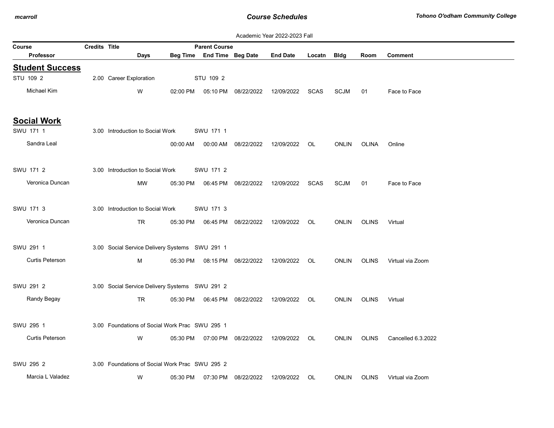|                        |                      |                                                |          |                            |                                  | Academic Year 2022-2023 Fall |             |              |              |                    |
|------------------------|----------------------|------------------------------------------------|----------|----------------------------|----------------------------------|------------------------------|-------------|--------------|--------------|--------------------|
| Course                 | <b>Credits Title</b> |                                                |          | <b>Parent Course</b>       |                                  |                              |             |              |              |                    |
| <b>Professor</b>       |                      | Days                                           |          | Beg Time End Time Beg Date |                                  | <b>End Date</b>              | Locatn Bldg |              | Room         | <b>Comment</b>     |
| <b>Student Success</b> |                      |                                                |          |                            |                                  |                              |             |              |              |                    |
| STU 109 2              |                      | 2.00 Career Exploration                        |          | STU 109 2                  |                                  |                              |             |              |              |                    |
| Michael Kim            |                      | W                                              | 02:00 PM |                            | 05:10 PM 08/22/2022              | 12/09/2022                   | <b>SCAS</b> | <b>SCJM</b>  | 01           | Face to Face       |
| <b>Social Work</b>     |                      |                                                |          |                            |                                  |                              |             |              |              |                    |
| SWU 171 1              |                      | 3.00 Introduction to Social Work               |          | SWU 171 1                  |                                  |                              |             |              |              |                    |
| Sandra Leal            |                      |                                                | 00:00 AM |                            | 00:00 AM 08/22/2022              | 12/09/2022                   | OL.         | <b>ONLIN</b> | OLINA        | Online             |
| SWU 171 2              |                      | 3.00 Introduction to Social Work               |          | SWU 171 2                  |                                  |                              |             |              |              |                    |
| Veronica Duncan        |                      | MW                                             | 05:30 PM |                            | 06:45 PM 08/22/2022              | 12/09/2022                   | <b>SCAS</b> | <b>SCJM</b>  | 01           | Face to Face       |
| SWU 171 3              |                      | 3.00 Introduction to Social Work               |          | SWU 171 3                  |                                  |                              |             |              |              |                    |
| Veronica Duncan        |                      | <b>TR</b>                                      |          |                            | 05:30 PM   06:45 PM   08/22/2022 | 12/09/2022                   | OL.         | <b>ONLIN</b> | <b>OLINS</b> | Virtual            |
| SWU 291 1              |                      | 3.00 Social Service Delivery Systems SWU 291 1 |          |                            |                                  |                              |             |              |              |                    |
| <b>Curtis Peterson</b> |                      | M                                              | 05:30 PM |                            | 08:15 PM 08/22/2022              | 12/09/2022                   | OL          | <b>ONLIN</b> | <b>OLINS</b> | Virtual via Zoom   |
| SWU 291 2              |                      | 3.00 Social Service Delivery Systems SWU 291 2 |          |                            |                                  |                              |             |              |              |                    |
| Randy Begay            |                      | TR                                             |          |                            | 05:30 PM   06:45 PM   08/22/2022 | 12/09/2022                   | OL          | <b>ONLIN</b> | <b>OLINS</b> | Virtual            |
| SWU 295 1              |                      | 3.00 Foundations of Social Work Prac SWU 295 1 |          |                            |                                  |                              |             |              |              |                    |
| Curtis Peterson        |                      | W                                              |          |                            | 05:30 PM  07:00 PM  08/22/2022   | 12/09/2022                   | OL          | <b>ONLIN</b> | <b>OLINS</b> | Cancelled 6.3.2022 |
| SWU 295 2              |                      | 3.00 Foundations of Social Work Prac SWU 295 2 |          |                            |                                  |                              |             |              |              |                    |
| Marcia L Valadez       |                      | W                                              | 05:30 PM |                            | 07:30 PM 08/22/2022              | 12/09/2022                   | OL          | ONLIN        | <b>OLINS</b> | Virtual via Zoom   |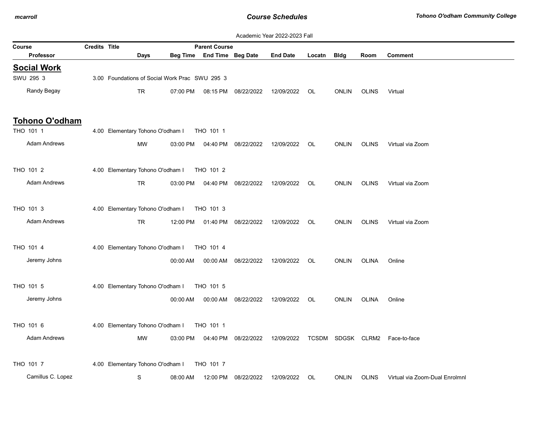|        |                     |                      |                                                |          |                            |                                | Academic Year 2022-2023 Fall |        |              |              |                                |
|--------|---------------------|----------------------|------------------------------------------------|----------|----------------------------|--------------------------------|------------------------------|--------|--------------|--------------|--------------------------------|
| Course |                     | <b>Credits Title</b> |                                                |          | <b>Parent Course</b>       |                                |                              |        |              |              |                                |
|        | <b>Professor</b>    |                      | Days                                           |          | Beg Time End Time Beg Date |                                | <b>End Date</b>              | Locatn | Bldg         | Room         | <b>Comment</b>                 |
|        | <b>Social Work</b>  |                      |                                                |          |                            |                                |                              |        |              |              |                                |
|        | SWU 295 3           |                      | 3.00 Foundations of Social Work Prac SWU 295 3 |          |                            |                                |                              |        |              |              |                                |
|        | Randy Begay         |                      | TR                                             | 07:00 PM | 08:15 PM                   | 08/22/2022                     | 12/09/2022                   | OL     | <b>ONLIN</b> | <b>OLINS</b> | Virtual                        |
|        | Tohono O'odham      |                      |                                                |          |                            |                                |                              |        |              |              |                                |
|        | THO 101 1           |                      | 4.00 Elementary Tohono O'odham I               |          | THO 101 1                  |                                |                              |        |              |              |                                |
|        | <b>Adam Andrews</b> |                      | <b>MW</b>                                      | 03:00 PM |                            | 04:40 PM 08/22/2022            | 12/09/2022                   | - OL   | <b>ONLIN</b> | OLINS        | Virtual via Zoom               |
|        | THO 101 2           |                      | 4.00 Elementary Tohono O'odham I               |          | THO 101 2                  |                                |                              |        |              |              |                                |
|        | <b>Adam Andrews</b> |                      | <b>TR</b>                                      | 03:00 PM | 04:40 PM                   | 08/22/2022                     | 12/09/2022                   | OL     | <b>ONLIN</b> | <b>OLINS</b> | Virtual via Zoom               |
|        | THO 101 3           |                      | 4.00 Elementary Tohono O'odham I               |          | THO 101 3                  |                                |                              |        |              |              |                                |
|        | <b>Adam Andrews</b> |                      | <b>TR</b>                                      |          |                            | 12:00 PM  01:40 PM  08/22/2022 | 12/09/2022                   | OL     | <b>ONLIN</b> | <b>OLINS</b> | Virtual via Zoom               |
|        | THO 101 4           |                      | 4.00 Elementary Tohono O'odham I               |          | THO 101 4                  |                                |                              |        |              |              |                                |
|        | Jeremy Johns        |                      |                                                | 00:00 AM | 00:00 AM                   | 08/22/2022                     | 12/09/2022                   | OL     | <b>ONLIN</b> | <b>OLINA</b> | Online                         |
|        | THO 101 5           |                      | 4.00 Elementary Tohono O'odham I               |          | THO 101 5                  |                                |                              |        |              |              |                                |
|        | Jeremy Johns        |                      |                                                | 00:00 AM | 00:00 AM                   | 08/22/2022                     | 12/09/2022                   | OL     | <b>ONLIN</b> | <b>OLINA</b> | Online                         |
|        | THO 101 6           |                      | 4.00 Elementary Tohono O'odham I               |          | THO 101 1                  |                                |                              |        |              |              |                                |
|        | <b>Adam Andrews</b> |                      | MW                                             | 03:00 PM |                            | 04:40 PM 08/22/2022            | 12/09/2022                   |        |              |              | TCSDM SDGSK CLRM2 Face-to-face |
|        | THO 101 7           |                      | 4.00 Elementary Tohono O'odham I               |          | THO 101 7                  |                                |                              |        |              |              |                                |
|        | Camillus C. Lopez   |                      | S                                              | 08:00 AM |                            | 12:00 PM 08/22/2022            | 12/09/2022                   | OL     | <b>ONLIN</b> | <b>OLINS</b> | Virtual via Zoom-Dual Enrolmnl |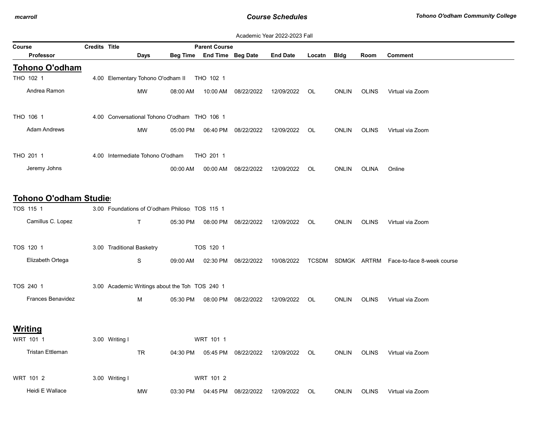|                         |                      |                           |                                                |                            |                     | Academic Year 2022-2023 Fall |        |              |              |                                              |
|-------------------------|----------------------|---------------------------|------------------------------------------------|----------------------------|---------------------|------------------------------|--------|--------------|--------------|----------------------------------------------|
| Course                  | <b>Credits Title</b> |                           |                                                | <b>Parent Course</b>       |                     |                              |        |              |              |                                              |
| <b>Professor</b>        |                      |                           | <b>Days</b>                                    | Beg Time End Time Beg Date |                     | <b>End Date</b>              | Locatn | Bldg         | Room         | <b>Comment</b>                               |
| Tohono O'odham          |                      |                           |                                                |                            |                     |                              |        |              |              |                                              |
| THO 102 1               |                      |                           | 4.00 Elementary Tohono O'odham II              | THO 102 1                  |                     |                              |        |              |              |                                              |
| Andrea Ramon            |                      | <b>MW</b>                 | 08:00 AM                                       | 10:00 AM                   | 08/22/2022          | 12/09/2022                   | OL     | <b>ONLIN</b> | <b>OLINS</b> | Virtual via Zoom                             |
| THO 106 1               |                      |                           | 4.00 Conversational Tohono O'odham THO 106 1   |                            |                     |                              |        |              |              |                                              |
| <b>Adam Andrews</b>     |                      | MW                        | 05:00 PM                                       |                            | 06:40 PM 08/22/2022 | 12/09/2022                   | OL.    | ONLIN        | <b>OLINS</b> | Virtual via Zoom                             |
| THO 201 1               |                      |                           | 4.00 Intermediate Tohono O'odham               | THO 201 1                  |                     |                              |        |              |              |                                              |
| Jeremy Johns            |                      |                           | 00:00 AM                                       | 00:00 AM                   | 08/22/2022          | 12/09/2022                   | OL     | <b>ONLIN</b> | OLINA        | Online                                       |
| Tohono O'odham Studies  |                      |                           |                                                |                            |                     |                              |        |              |              |                                              |
| TOS 115 1               |                      |                           | 3.00 Foundations of O'odham Philoso TOS 115 1  |                            |                     |                              |        |              |              |                                              |
| Camillus C. Lopez       |                      | T.                        | 05:30 PM                                       |                            | 08:00 PM 08/22/2022 | 12/09/2022                   | OL.    | <b>ONLIN</b> | <b>OLINS</b> | Virtual via Zoom                             |
| TOS 120 1               |                      | 3.00 Traditional Basketry |                                                | TOS 120 1                  |                     |                              |        |              |              |                                              |
| Elizabeth Ortega        |                      | S                         | 09:00 AM                                       | 02:30 PM                   | 08/22/2022          | 10/08/2022                   |        |              |              | TCSDM SDMGK ARTRM Face-to-face 8-week course |
| TOS 240 1               |                      |                           | 3.00 Academic Writings about the Toh TOS 240 1 |                            |                     |                              |        |              |              |                                              |
| Frances Benavidez       |                      | М                         | 05:30 PM                                       |                            | 08:00 PM 08/22/2022 | 12/09/2022                   | OL     | <b>ONLIN</b> | <b>OLINS</b> | Virtual via Zoom                             |
| Writing                 |                      |                           |                                                |                            |                     |                              |        |              |              |                                              |
| WRT 101 1               |                      | 3.00 Writing I            |                                                | WRT 101 1                  |                     |                              |        |              |              |                                              |
| <b>Tristan Ettleman</b> |                      | TR                        | 04:30 PM                                       |                            | 05:45 PM 08/22/2022 | 12/09/2022                   | OL     | <b>ONLIN</b> | <b>OLINS</b> | Virtual via Zoom                             |
| WRT 101 2               |                      | 3.00 Writing I            |                                                | WRT 101 2                  |                     |                              |        |              |              |                                              |
| Heidi E Wallace         |                      | МW                        | 03:30 PM                                       | 04:45 PM                   | 08/22/2022          | 12/09/2022                   | OL     | <b>ONLIN</b> | <b>OLINS</b> | Virtual via Zoom                             |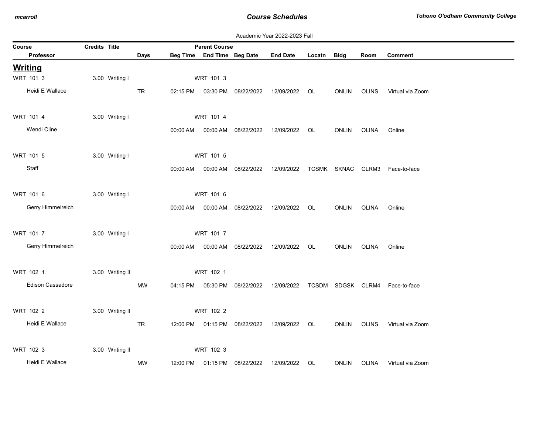|                |                   |               |                 |           |          |                            |                                            | Academic Year 2022-2023 Fall                   |             |              |              |                                |
|----------------|-------------------|---------------|-----------------|-----------|----------|----------------------------|--------------------------------------------|------------------------------------------------|-------------|--------------|--------------|--------------------------------|
| Course         |                   | Credits Title |                 |           |          | <b>Parent Course</b>       |                                            |                                                |             |              |              |                                |
|                | <b>Professor</b>  |               |                 | Days      |          | Beg Time End Time Beg Date |                                            | <b>End Date</b>                                | Locatn Bldg |              | Room         | <b>Comment</b>                 |
| <b>Writing</b> |                   |               |                 |           |          |                            |                                            |                                                |             |              |              |                                |
|                | WRT 101 3         |               | 3.00 Writing I  |           |          | WRT 101 3                  |                                            |                                                |             |              |              |                                |
|                | Heidi E Wallace   |               |                 | TR        |          |                            |                                            | 02:15 PM  03:30 PM  08/22/2022  12/09/2022  OL |             | <b>ONLIN</b> | <b>OLINS</b> | Virtual via Zoom               |
|                | WRT 101 4         |               | 3.00 Writing I  |           |          | WRT 101 4                  |                                            |                                                |             |              |              |                                |
|                | Wendi Cline       |               |                 |           | 00:00 AM |                            |                                            | 00:00 AM  08/22/2022  12/09/2022  OL           |             | <b>ONLIN</b> | OLINA        | Online                         |
| WRT 101 5      |                   |               | 3.00 Writing I  |           |          | WRT 101 5                  |                                            |                                                |             |              |              |                                |
|                | Staff             |               |                 |           |          |                            | 00:00 AM   00:00 AM   08/22/2022           | 12/09/2022                                     |             |              |              | TCSMK SKNAC CLRM3 Face-to-face |
|                | WRT 101 6         |               | 3.00 Writing I  |           |          | WRT 101 6                  |                                            |                                                |             |              |              |                                |
|                | Gerry Himmelreich |               |                 |           | 00:00 AM |                            |                                            | 00:00 AM  08/22/2022  12/09/2022  OL           |             | ONLIN        | OLINA        | Online                         |
|                | WRT 101 7         |               | 3.00 Writing I  |           |          | WRT 101 7                  |                                            |                                                |             |              |              |                                |
|                | Gerry Himmelreich |               |                 |           | 00:00 AM |                            | 00:00 AM 08/22/2022                        | 12/09/2022                                     | OL.         | ONLIN        | OLINA        | Online                         |
|                | WRT 102 1         |               | 3.00 Writing II |           |          | WRT 102 1                  |                                            |                                                |             |              |              |                                |
|                | Edison Cassadore  |               |                 | MW        |          |                            | 04:15 PM  05:30 PM  08/22/2022  12/09/2022 |                                                |             |              |              | TCSDM SDGSK CLRM4 Face-to-face |
|                | WRT 102 2         |               | 3.00 Writing II |           |          | WRT 102 2                  |                                            |                                                |             |              |              |                                |
|                | Heidi E Wallace   |               |                 | <b>TR</b> |          |                            |                                            | 12:00 PM  01:15 PM  08/22/2022  12/09/2022  OL |             | ONLIN OLINS  |              | Virtual via Zoom               |
|                | WRT 102 3         |               | 3.00 Writing II |           |          | WRT 102 3                  |                                            |                                                |             |              |              |                                |
|                | Heidi E Wallace   |               |                 | <b>MW</b> | 12:00 PM |                            | 01:15 PM 08/22/2022                        | 12/09/2022                                     | OL          | <b>ONLIN</b> | <b>OLINA</b> | Virtual via Zoom               |